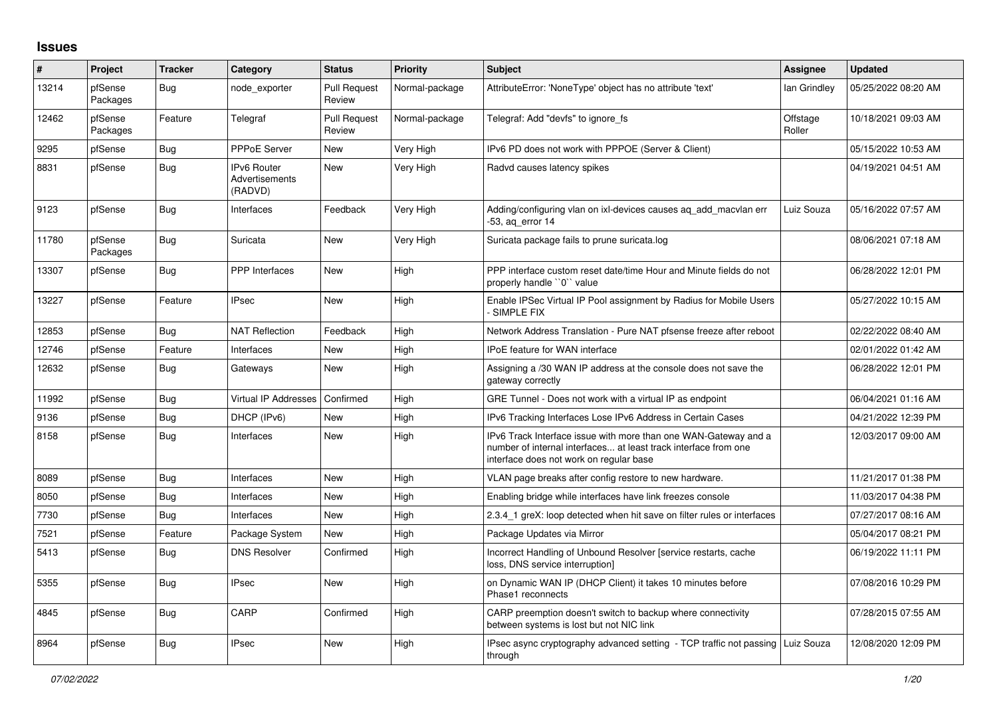## **Issues**

| #     | Project             | <b>Tracker</b> | Category                                        | <b>Status</b>                 | <b>Priority</b> | <b>Subject</b>                                                                                                                                                                | Assignee           | <b>Updated</b>      |
|-------|---------------------|----------------|-------------------------------------------------|-------------------------------|-----------------|-------------------------------------------------------------------------------------------------------------------------------------------------------------------------------|--------------------|---------------------|
| 13214 | pfSense<br>Packages | Bug            | node exporter                                   | <b>Pull Request</b><br>Review | Normal-package  | AttributeError: 'NoneType' object has no attribute 'text'                                                                                                                     | lan Grindley       | 05/25/2022 08:20 AM |
| 12462 | pfSense<br>Packages | Feature        | Telegraf                                        | <b>Pull Request</b><br>Review | Normal-package  | Telegraf: Add "devfs" to ignore_fs                                                                                                                                            | Offstage<br>Roller | 10/18/2021 09:03 AM |
| 9295  | pfSense             | <b>Bug</b>     | <b>PPPoE Server</b>                             | <b>New</b>                    | Very High       | IPv6 PD does not work with PPPOE (Server & Client)                                                                                                                            |                    | 05/15/2022 10:53 AM |
| 8831  | pfSense             | <b>Bug</b>     | <b>IPv6 Router</b><br>Advertisements<br>(RADVD) | <b>New</b>                    | Very High       | Radvd causes latency spikes                                                                                                                                                   |                    | 04/19/2021 04:51 AM |
| 9123  | pfSense             | Bug            | Interfaces                                      | Feedback                      | Very High       | Adding/configuring vlan on ixl-devices causes aq_add_macvlan err<br>53, aq_error 14                                                                                           | Luiz Souza         | 05/16/2022 07:57 AM |
| 11780 | pfSense<br>Packages | <b>Bug</b>     | Suricata                                        | New                           | Very High       | Suricata package fails to prune suricata.log                                                                                                                                  |                    | 08/06/2021 07:18 AM |
| 13307 | pfSense             | <b>Bug</b>     | <b>PPP</b> Interfaces                           | New                           | High            | PPP interface custom reset date/time Hour and Minute fields do not<br>properly handle "0" value                                                                               |                    | 06/28/2022 12:01 PM |
| 13227 | pfSense             | Feature        | <b>IPsec</b>                                    | <b>New</b>                    | High            | Enable IPSec Virtual IP Pool assignment by Radius for Mobile Users<br><b>SIMPLE FIX</b>                                                                                       |                    | 05/27/2022 10:15 AM |
| 12853 | pfSense             | Bug            | <b>NAT Reflection</b>                           | Feedback                      | High            | Network Address Translation - Pure NAT pfsense freeze after reboot                                                                                                            |                    | 02/22/2022 08:40 AM |
| 12746 | pfSense             | Feature        | Interfaces                                      | New                           | High            | IPoE feature for WAN interface                                                                                                                                                |                    | 02/01/2022 01:42 AM |
| 12632 | pfSense             | Bug            | Gateways                                        | New                           | High            | Assigning a /30 WAN IP address at the console does not save the<br>gateway correctly                                                                                          |                    | 06/28/2022 12:01 PM |
| 11992 | pfSense             | Bug            | Virtual IP Addresses                            | Confirmed                     | High            | GRE Tunnel - Does not work with a virtual IP as endpoint                                                                                                                      |                    | 06/04/2021 01:16 AM |
| 9136  | pfSense             | <b>Bug</b>     | DHCP (IPv6)                                     | New                           | High            | IPv6 Tracking Interfaces Lose IPv6 Address in Certain Cases                                                                                                                   |                    | 04/21/2022 12:39 PM |
| 8158  | pfSense             | <b>Bug</b>     | Interfaces                                      | <b>New</b>                    | High            | IPv6 Track Interface issue with more than one WAN-Gateway and a<br>number of internal interfaces at least track interface from one<br>interface does not work on regular base |                    | 12/03/2017 09:00 AM |
| 8089  | pfSense             | Bug            | Interfaces                                      | New                           | High            | VLAN page breaks after config restore to new hardware.                                                                                                                        |                    | 11/21/2017 01:38 PM |
| 8050  | pfSense             | <b>Bug</b>     | Interfaces                                      | New                           | High            | Enabling bridge while interfaces have link freezes console                                                                                                                    |                    | 11/03/2017 04:38 PM |
| 7730  | pfSense             | <b>Bug</b>     | Interfaces                                      | New                           | High            | 2.3.4_1 greX: loop detected when hit save on filter rules or interfaces                                                                                                       |                    | 07/27/2017 08:16 AM |
| 7521  | pfSense             | Feature        | Package System                                  | <b>New</b>                    | High            | Package Updates via Mirror                                                                                                                                                    |                    | 05/04/2017 08:21 PM |
| 5413  | pfSense             | Bug            | <b>DNS Resolver</b>                             | Confirmed                     | High            | Incorrect Handling of Unbound Resolver [service restarts, cache<br>loss, DNS service interruption]                                                                            |                    | 06/19/2022 11:11 PM |
| 5355  | pfSense             | <b>Bug</b>     | <b>IPsec</b>                                    | <b>New</b>                    | High            | on Dynamic WAN IP (DHCP Client) it takes 10 minutes before<br>Phase1 reconnects                                                                                               |                    | 07/08/2016 10:29 PM |
| 4845  | pfSense             | <b>Bug</b>     | CARP                                            | Confirmed                     | High            | CARP preemption doesn't switch to backup where connectivity<br>between systems is lost but not NIC link                                                                       |                    | 07/28/2015 07:55 AM |
| 8964  | pfSense             | <b>Bug</b>     | <b>IPsec</b>                                    | New                           | High            | IPsec async cryptography advanced setting - TCP traffic not passing   Luiz Souza<br>through                                                                                   |                    | 12/08/2020 12:09 PM |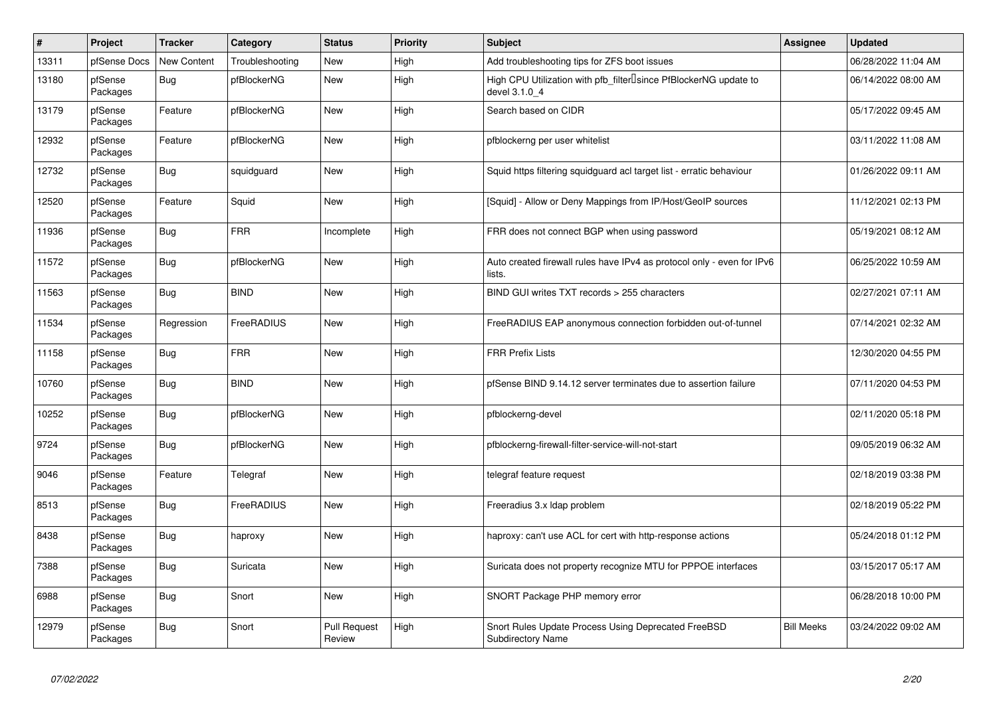| $\sharp$ | Project             | <b>Tracker</b>     | Category        | <b>Status</b>                 | <b>Priority</b> | <b>Subject</b>                                                                     | <b>Assignee</b>   | <b>Updated</b>      |
|----------|---------------------|--------------------|-----------------|-------------------------------|-----------------|------------------------------------------------------------------------------------|-------------------|---------------------|
| 13311    | pfSense Docs        | <b>New Content</b> | Troubleshooting | <b>New</b>                    | High            | Add troubleshooting tips for ZFS boot issues                                       |                   | 06/28/2022 11:04 AM |
| 13180    | pfSense<br>Packages | Bug                | pfBlockerNG     | <b>New</b>                    | High            | High CPU Utilization with pfb filter Isince PfBlockerNG update to<br>devel 3.1.0 4 |                   | 06/14/2022 08:00 AM |
| 13179    | pfSense<br>Packages | Feature            | pfBlockerNG     | <b>New</b>                    | High            | Search based on CIDR                                                               |                   | 05/17/2022 09:45 AM |
| 12932    | pfSense<br>Packages | Feature            | pfBlockerNG     | New                           | High            | pfblockerng per user whitelist                                                     |                   | 03/11/2022 11:08 AM |
| 12732    | pfSense<br>Packages | Bug                | squidguard      | <b>New</b>                    | High            | Squid https filtering squidguard acl target list - erratic behaviour               |                   | 01/26/2022 09:11 AM |
| 12520    | pfSense<br>Packages | Feature            | Squid           | <b>New</b>                    | High            | [Squid] - Allow or Deny Mappings from IP/Host/GeoIP sources                        |                   | 11/12/2021 02:13 PM |
| 11936    | pfSense<br>Packages | Bug                | <b>FRR</b>      | Incomplete                    | High            | FRR does not connect BGP when using password                                       |                   | 05/19/2021 08:12 AM |
| 11572    | pfSense<br>Packages | Bug                | pfBlockerNG     | New                           | High            | Auto created firewall rules have IPv4 as protocol only - even for IPv6<br>lists.   |                   | 06/25/2022 10:59 AM |
| 11563    | pfSense<br>Packages | Bug                | <b>BIND</b>     | <b>New</b>                    | High            | BIND GUI writes TXT records > 255 characters                                       |                   | 02/27/2021 07:11 AM |
| 11534    | pfSense<br>Packages | Regression         | FreeRADIUS      | <b>New</b>                    | High            | FreeRADIUS EAP anonymous connection forbidden out-of-tunnel                        |                   | 07/14/2021 02:32 AM |
| 11158    | pfSense<br>Packages | Bug                | <b>FRR</b>      | <b>New</b>                    | High            | <b>FRR Prefix Lists</b>                                                            |                   | 12/30/2020 04:55 PM |
| 10760    | pfSense<br>Packages | Bug                | <b>BIND</b>     | New                           | High            | pfSense BIND 9.14.12 server terminates due to assertion failure                    |                   | 07/11/2020 04:53 PM |
| 10252    | pfSense<br>Packages | Bug                | pfBlockerNG     | <b>New</b>                    | High            | pfblockerng-devel                                                                  |                   | 02/11/2020 05:18 PM |
| 9724     | pfSense<br>Packages | <b>Bug</b>         | pfBlockerNG     | <b>New</b>                    | High            | pfblockerng-firewall-filter-service-will-not-start                                 |                   | 09/05/2019 06:32 AM |
| 9046     | pfSense<br>Packages | Feature            | Telegraf        | <b>New</b>                    | High            | telegraf feature request                                                           |                   | 02/18/2019 03:38 PM |
| 8513     | pfSense<br>Packages | <b>Bug</b>         | FreeRADIUS      | <b>New</b>                    | High            | Freeradius 3.x Idap problem                                                        |                   | 02/18/2019 05:22 PM |
| 8438     | pfSense<br>Packages | Bug                | haproxy         | New                           | High            | haproxy: can't use ACL for cert with http-response actions                         |                   | 05/24/2018 01:12 PM |
| 7388     | pfSense<br>Packages | Bug                | Suricata        | <b>New</b>                    | High            | Suricata does not property recognize MTU for PPPOE interfaces                      |                   | 03/15/2017 05:17 AM |
| 6988     | pfSense<br>Packages | Bug                | Snort           | <b>New</b>                    | High            | SNORT Package PHP memory error                                                     |                   | 06/28/2018 10:00 PM |
| 12979    | pfSense<br>Packages | Bug                | Snort           | <b>Pull Request</b><br>Review | High            | Snort Rules Update Process Using Deprecated FreeBSD<br><b>Subdirectory Name</b>    | <b>Bill Meeks</b> | 03/24/2022 09:02 AM |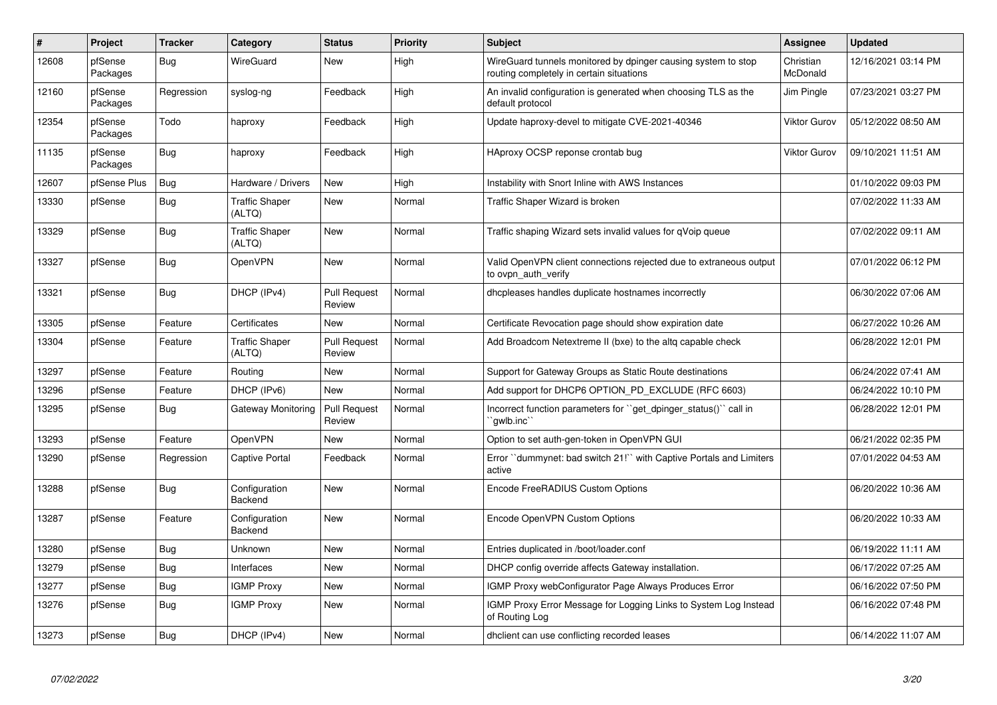| $\#$  | Project             | <b>Tracker</b> | Category                        | <b>Status</b>                 | Priority | <b>Subject</b>                                                                                            | <b>Assignee</b>       | <b>Updated</b>      |
|-------|---------------------|----------------|---------------------------------|-------------------------------|----------|-----------------------------------------------------------------------------------------------------------|-----------------------|---------------------|
| 12608 | pfSense<br>Packages | Bug            | WireGuard                       | New                           | High     | WireGuard tunnels monitored by dpinger causing system to stop<br>routing completely in certain situations | Christian<br>McDonald | 12/16/2021 03:14 PM |
| 12160 | pfSense<br>Packages | Regression     | syslog-ng                       | Feedback                      | High     | An invalid configuration is generated when choosing TLS as the<br>default protocol                        | Jim Pingle            | 07/23/2021 03:27 PM |
| 12354 | pfSense<br>Packages | Todo           | haproxy                         | Feedback                      | High     | Update haproxy-devel to mitigate CVE-2021-40346                                                           | Viktor Gurov          | 05/12/2022 08:50 AM |
| 11135 | pfSense<br>Packages | <b>Bug</b>     | haproxy                         | Feedback                      | High     | HAproxy OCSP reponse crontab bug                                                                          | Viktor Gurov          | 09/10/2021 11:51 AM |
| 12607 | pfSense Plus        | Bug            | Hardware / Drivers              | <b>New</b>                    | High     | Instability with Snort Inline with AWS Instances                                                          |                       | 01/10/2022 09:03 PM |
| 13330 | pfSense             | <b>Bug</b>     | <b>Traffic Shaper</b><br>(ALTQ) | New                           | Normal   | Traffic Shaper Wizard is broken                                                                           |                       | 07/02/2022 11:33 AM |
| 13329 | pfSense             | <b>Bug</b>     | <b>Traffic Shaper</b><br>(ALTQ) | <b>New</b>                    | Normal   | Traffic shaping Wizard sets invalid values for qVoip queue                                                |                       | 07/02/2022 09:11 AM |
| 13327 | pfSense             | Bug            | OpenVPN                         | <b>New</b>                    | Normal   | Valid OpenVPN client connections rejected due to extraneous output<br>to ovpn auth verify                 |                       | 07/01/2022 06:12 PM |
| 13321 | pfSense             | <b>Bug</b>     | DHCP (IPv4)                     | <b>Pull Request</b><br>Review | Normal   | dhcpleases handles duplicate hostnames incorrectly                                                        |                       | 06/30/2022 07:06 AM |
| 13305 | pfSense             | Feature        | Certificates                    | <b>New</b>                    | Normal   | Certificate Revocation page should show expiration date                                                   |                       | 06/27/2022 10:26 AM |
| 13304 | pfSense             | Feature        | <b>Traffic Shaper</b><br>(ALTQ) | <b>Pull Request</b><br>Review | Normal   | Add Broadcom Netextreme II (bxe) to the altg capable check                                                |                       | 06/28/2022 12:01 PM |
| 13297 | pfSense             | Feature        | Routing                         | <b>New</b>                    | Normal   | Support for Gateway Groups as Static Route destinations                                                   |                       | 06/24/2022 07:41 AM |
| 13296 | pfSense             | Feature        | DHCP (IPv6)                     | <b>New</b>                    | Normal   | Add support for DHCP6 OPTION PD EXCLUDE (RFC 6603)                                                        |                       | 06/24/2022 10:10 PM |
| 13295 | pfSense             | Bug            | Gateway Monitoring              | <b>Pull Request</b><br>Review | Normal   | Incorrect function parameters for "get_dpinger_status()" call in<br>`qwlb.inc``                           |                       | 06/28/2022 12:01 PM |
| 13293 | pfSense             | Feature        | OpenVPN                         | <b>New</b>                    | Normal   | Option to set auth-gen-token in OpenVPN GUI                                                               |                       | 06/21/2022 02:35 PM |
| 13290 | pfSense             | Regression     | <b>Captive Portal</b>           | Feedback                      | Normal   | Error "dummynet: bad switch 21!" with Captive Portals and Limiters<br>active                              |                       | 07/01/2022 04:53 AM |
| 13288 | pfSense             | <b>Bug</b>     | Configuration<br>Backend        | <b>New</b>                    | Normal   | Encode FreeRADIUS Custom Options                                                                          |                       | 06/20/2022 10:36 AM |
| 13287 | pfSense             | Feature        | Configuration<br>Backend        | <b>New</b>                    | Normal   | Encode OpenVPN Custom Options                                                                             |                       | 06/20/2022 10:33 AM |
| 13280 | pfSense             | Bug            | Unknown                         | <b>New</b>                    | Normal   | Entries duplicated in /boot/loader.conf                                                                   |                       | 06/19/2022 11:11 AM |
| 13279 | pfSense             | Bug            | Interfaces                      | <b>New</b>                    | Normal   | DHCP config override affects Gateway installation.                                                        |                       | 06/17/2022 07:25 AM |
| 13277 | pfSense             | <b>Bug</b>     | <b>IGMP Proxy</b>               | <b>New</b>                    | Normal   | IGMP Proxy webConfigurator Page Always Produces Error                                                     |                       | 06/16/2022 07:50 PM |
| 13276 | pfSense             | Bug            | <b>IGMP Proxy</b>               | New                           | Normal   | IGMP Proxy Error Message for Logging Links to System Log Instead<br>of Routing Log                        |                       | 06/16/2022 07:48 PM |
| 13273 | pfSense             | <b>Bug</b>     | DHCP (IPv4)                     | New                           | Normal   | dholient can use conflicting recorded leases                                                              |                       | 06/14/2022 11:07 AM |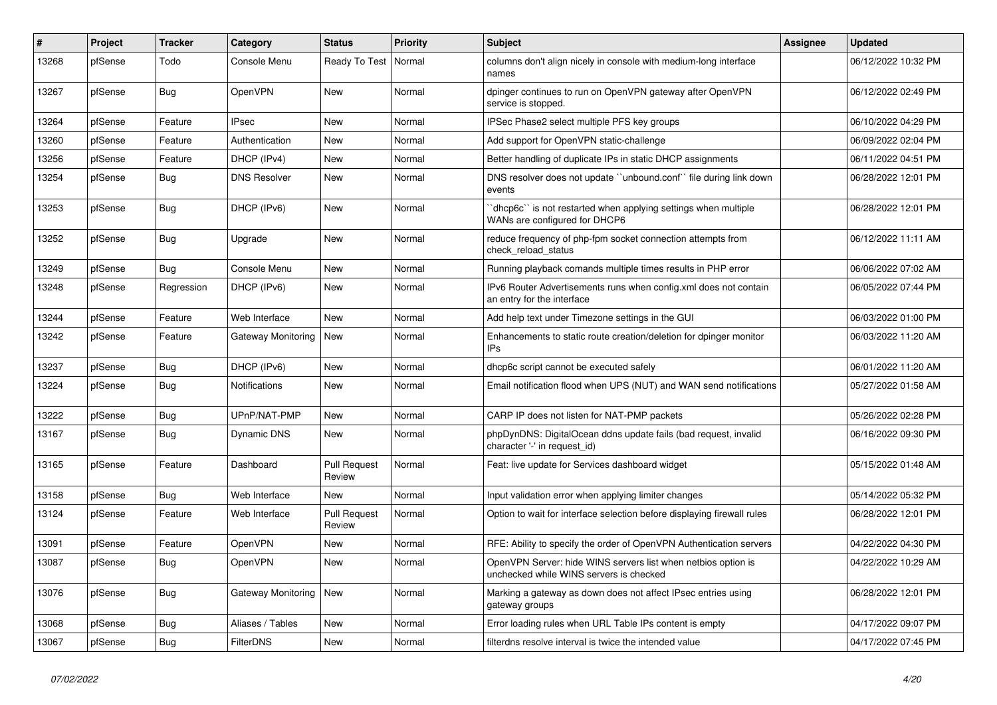| #     | Project | <b>Tracker</b> | Category             | <b>Status</b>                 | <b>Priority</b> | <b>Subject</b>                                                                                           | Assignee | <b>Updated</b>      |
|-------|---------|----------------|----------------------|-------------------------------|-----------------|----------------------------------------------------------------------------------------------------------|----------|---------------------|
| 13268 | pfSense | Todo           | Console Menu         | Ready To Test                 | Normal          | columns don't align nicely in console with medium-long interface<br>names                                |          | 06/12/2022 10:32 PM |
| 13267 | pfSense | Bug            | OpenVPN              | New                           | Normal          | dpinger continues to run on OpenVPN gateway after OpenVPN<br>service is stopped.                         |          | 06/12/2022 02:49 PM |
| 13264 | pfSense | Feature        | <b>IPsec</b>         | <b>New</b>                    | Normal          | IPSec Phase2 select multiple PFS key groups                                                              |          | 06/10/2022 04:29 PM |
| 13260 | pfSense | Feature        | Authentication       | New                           | Normal          | Add support for OpenVPN static-challenge                                                                 |          | 06/09/2022 02:04 PM |
| 13256 | pfSense | Feature        | DHCP (IPv4)          | <b>New</b>                    | Normal          | Better handling of duplicate IPs in static DHCP assignments                                              |          | 06/11/2022 04:51 PM |
| 13254 | pfSense | Bug            | <b>DNS Resolver</b>  | <b>New</b>                    | Normal          | DNS resolver does not update "unbound.conf" file during link down<br>events                              |          | 06/28/2022 12:01 PM |
| 13253 | pfSense | Bug            | DHCP (IPv6)          | <b>New</b>                    | Normal          | dhcp6c" is not restarted when applying settings when multiple<br>WANs are configured for DHCP6           |          | 06/28/2022 12:01 PM |
| 13252 | pfSense | <b>Bug</b>     | Upgrade              | New                           | Normal          | reduce frequency of php-fpm socket connection attempts from<br>check_reload_status                       |          | 06/12/2022 11:11 AM |
| 13249 | pfSense | <b>Bug</b>     | Console Menu         | <b>New</b>                    | Normal          | Running playback comands multiple times results in PHP error                                             |          | 06/06/2022 07:02 AM |
| 13248 | pfSense | Regression     | DHCP (IPv6)          | <b>New</b>                    | Normal          | IPv6 Router Advertisements runs when config.xml does not contain<br>an entry for the interface           |          | 06/05/2022 07:44 PM |
| 13244 | pfSense | Feature        | Web Interface        | <b>New</b>                    | Normal          | Add help text under Timezone settings in the GUI                                                         |          | 06/03/2022 01:00 PM |
| 13242 | pfSense | Feature        | Gateway Monitoring   | New                           | Normal          | Enhancements to static route creation/deletion for dpinger monitor<br>IPs                                |          | 06/03/2022 11:20 AM |
| 13237 | pfSense | Bug            | DHCP (IPv6)          | <b>New</b>                    | Normal          | dhcp6c script cannot be executed safely                                                                  |          | 06/01/2022 11:20 AM |
| 13224 | pfSense | Bug            | <b>Notifications</b> | New                           | Normal          | Email notification flood when UPS (NUT) and WAN send notifications                                       |          | 05/27/2022 01:58 AM |
| 13222 | pfSense | <b>Bug</b>     | UPnP/NAT-PMP         | <b>New</b>                    | Normal          | CARP IP does not listen for NAT-PMP packets                                                              |          | 05/26/2022 02:28 PM |
| 13167 | pfSense | <b>Bug</b>     | <b>Dynamic DNS</b>   | New                           | Normal          | phpDynDNS: DigitalOcean ddns update fails (bad request, invalid<br>character '-' in request id)          |          | 06/16/2022 09:30 PM |
| 13165 | pfSense | Feature        | Dashboard            | <b>Pull Request</b><br>Review | Normal          | Feat: live update for Services dashboard widget                                                          |          | 05/15/2022 01:48 AM |
| 13158 | pfSense | Bug            | Web Interface        | <b>New</b>                    | Normal          | Input validation error when applying limiter changes                                                     |          | 05/14/2022 05:32 PM |
| 13124 | pfSense | Feature        | Web Interface        | <b>Pull Request</b><br>Review | Normal          | Option to wait for interface selection before displaying firewall rules                                  |          | 06/28/2022 12:01 PM |
| 13091 | pfSense | Feature        | OpenVPN              | <b>New</b>                    | Normal          | RFE: Ability to specify the order of OpenVPN Authentication servers                                      |          | 04/22/2022 04:30 PM |
| 13087 | pfSense | <b>Bug</b>     | OpenVPN              | New                           | Normal          | OpenVPN Server: hide WINS servers list when netbios option is<br>unchecked while WINS servers is checked |          | 04/22/2022 10:29 AM |
| 13076 | pfSense | <b>Bug</b>     | Gateway Monitoring   | <b>New</b>                    | Normal          | Marking a gateway as down does not affect IPsec entries using<br>gateway groups                          |          | 06/28/2022 12:01 PM |
| 13068 | pfSense | Bug            | Aliases / Tables     | <b>New</b>                    | Normal          | Error loading rules when URL Table IPs content is empty                                                  |          | 04/17/2022 09:07 PM |
| 13067 | pfSense | <b>Bug</b>     | <b>FilterDNS</b>     | <b>New</b>                    | Normal          | filterdns resolve interval is twice the intended value                                                   |          | 04/17/2022 07:45 PM |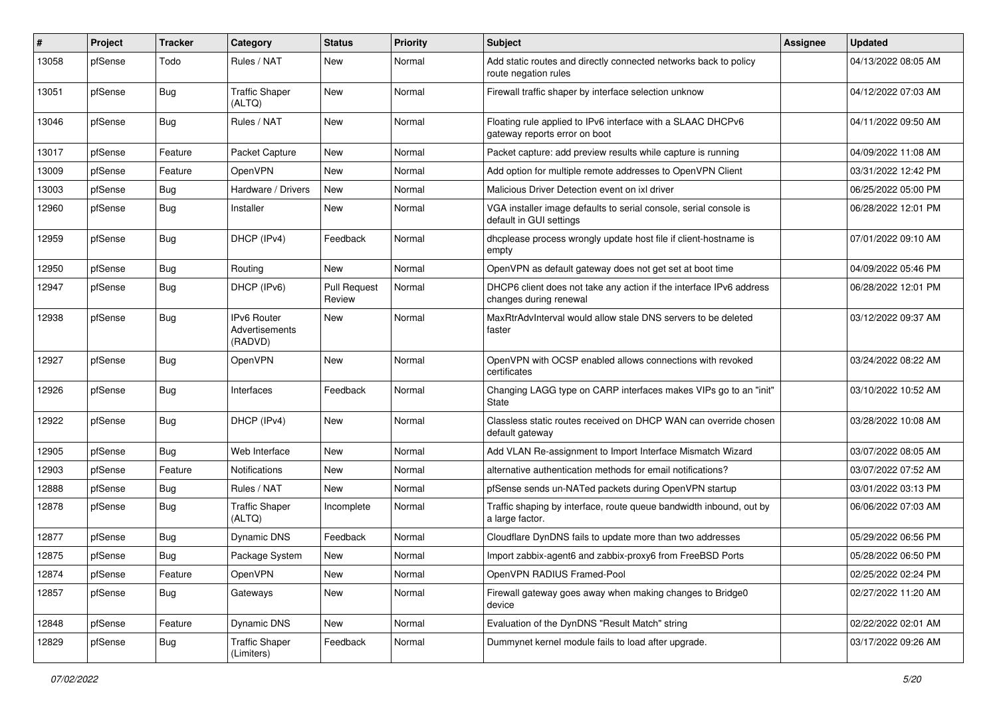| #     | Project | <b>Tracker</b> | Category                                        | <b>Status</b>                 | <b>Priority</b> | <b>Subject</b>                                                                                | <b>Assignee</b> | <b>Updated</b>      |
|-------|---------|----------------|-------------------------------------------------|-------------------------------|-----------------|-----------------------------------------------------------------------------------------------|-----------------|---------------------|
| 13058 | pfSense | Todo           | Rules / NAT                                     | New                           | Normal          | Add static routes and directly connected networks back to policy<br>route negation rules      |                 | 04/13/2022 08:05 AM |
| 13051 | pfSense | Bug            | <b>Traffic Shaper</b><br>(ALTQ)                 | New                           | Normal          | Firewall traffic shaper by interface selection unknow                                         |                 | 04/12/2022 07:03 AM |
| 13046 | pfSense | Bug            | Rules / NAT                                     | New                           | Normal          | Floating rule applied to IPv6 interface with a SLAAC DHCPv6<br>gateway reports error on boot  |                 | 04/11/2022 09:50 AM |
| 13017 | pfSense | Feature        | Packet Capture                                  | New                           | Normal          | Packet capture: add preview results while capture is running                                  |                 | 04/09/2022 11:08 AM |
| 13009 | pfSense | Feature        | OpenVPN                                         | <b>New</b>                    | Normal          | Add option for multiple remote addresses to OpenVPN Client                                    |                 | 03/31/2022 12:42 PM |
| 13003 | pfSense | Bug            | Hardware / Drivers                              | New                           | Normal          | Malicious Driver Detection event on ixl driver                                                |                 | 06/25/2022 05:00 PM |
| 12960 | pfSense | Bug            | Installer                                       | New                           | Normal          | VGA installer image defaults to serial console, serial console is<br>default in GUI settings  |                 | 06/28/2022 12:01 PM |
| 12959 | pfSense | Bug            | DHCP (IPv4)                                     | Feedback                      | Normal          | dhcplease process wrongly update host file if client-hostname is<br>empty                     |                 | 07/01/2022 09:10 AM |
| 12950 | pfSense | Bug            | Routing                                         | New                           | Normal          | OpenVPN as default gateway does not get set at boot time                                      |                 | 04/09/2022 05:46 PM |
| 12947 | pfSense | <b>Bug</b>     | DHCP (IPv6)                                     | <b>Pull Request</b><br>Review | Normal          | DHCP6 client does not take any action if the interface IPv6 address<br>changes during renewal |                 | 06/28/2022 12:01 PM |
| 12938 | pfSense | Bug            | <b>IPv6 Router</b><br>Advertisements<br>(RADVD) | New                           | Normal          | MaxRtrAdvInterval would allow stale DNS servers to be deleted<br>faster                       |                 | 03/12/2022 09:37 AM |
| 12927 | pfSense | Bug            | OpenVPN                                         | New                           | Normal          | OpenVPN with OCSP enabled allows connections with revoked<br>certificates                     |                 | 03/24/2022 08:22 AM |
| 12926 | pfSense | Bug            | Interfaces                                      | Feedback                      | Normal          | Changing LAGG type on CARP interfaces makes VIPs go to an "init"<br>State                     |                 | 03/10/2022 10:52 AM |
| 12922 | pfSense | Bug            | DHCP (IPv4)                                     | <b>New</b>                    | Normal          | Classless static routes received on DHCP WAN can override chosen<br>default gateway           |                 | 03/28/2022 10:08 AM |
| 12905 | pfSense | Bug            | Web Interface                                   | <b>New</b>                    | Normal          | Add VLAN Re-assignment to Import Interface Mismatch Wizard                                    |                 | 03/07/2022 08:05 AM |
| 12903 | pfSense | Feature        | Notifications                                   | New                           | Normal          | alternative authentication methods for email notifications?                                   |                 | 03/07/2022 07:52 AM |
| 12888 | pfSense | Bug            | Rules / NAT                                     | New                           | Normal          | pfSense sends un-NATed packets during OpenVPN startup                                         |                 | 03/01/2022 03:13 PM |
| 12878 | pfSense | <b>Bug</b>     | <b>Traffic Shaper</b><br>(ALTQ)                 | Incomplete                    | Normal          | Traffic shaping by interface, route queue bandwidth inbound, out by<br>a large factor.        |                 | 06/06/2022 07:03 AM |
| 12877 | pfSense | Bug            | Dynamic DNS                                     | Feedback                      | Normal          | Cloudflare DynDNS fails to update more than two addresses                                     |                 | 05/29/2022 06:56 PM |
| 12875 | pfSense | Bug            | Package System                                  | New                           | Normal          | Import zabbix-agent6 and zabbix-proxy6 from FreeBSD Ports                                     |                 | 05/28/2022 06:50 PM |
| 12874 | pfSense | Feature        | OpenVPN                                         | New                           | Normal          | OpenVPN RADIUS Framed-Pool                                                                    |                 | 02/25/2022 02:24 PM |
| 12857 | pfSense | Bug            | Gateways                                        | New                           | Normal          | Firewall gateway goes away when making changes to Bridge0<br>device                           |                 | 02/27/2022 11:20 AM |
| 12848 | pfSense | Feature        | Dynamic DNS                                     | New                           | Normal          | Evaluation of the DynDNS "Result Match" string                                                |                 | 02/22/2022 02:01 AM |
| 12829 | pfSense | Bug            | <b>Traffic Shaper</b><br>(Limiters)             | Feedback                      | Normal          | Dummynet kernel module fails to load after upgrade.                                           |                 | 03/17/2022 09:26 AM |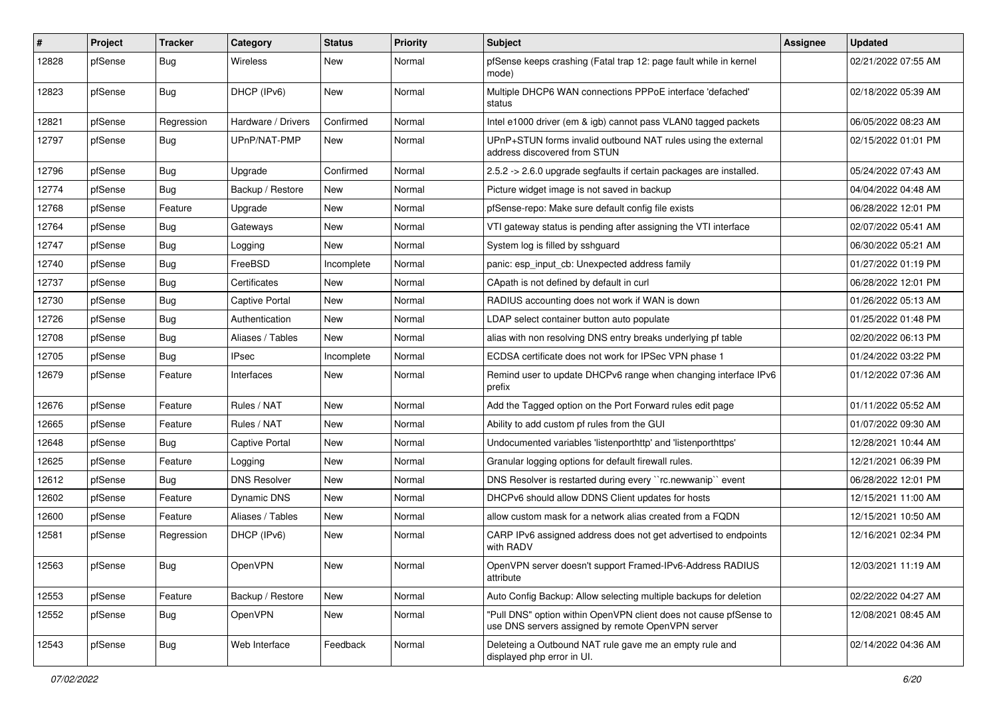| #     | Project | <b>Tracker</b> | Category              | <b>Status</b> | <b>Priority</b> | <b>Subject</b>                                                                                                         | <b>Assignee</b> | <b>Updated</b>      |
|-------|---------|----------------|-----------------------|---------------|-----------------|------------------------------------------------------------------------------------------------------------------------|-----------------|---------------------|
| 12828 | pfSense | Bug            | <b>Wireless</b>       | New           | Normal          | pfSense keeps crashing (Fatal trap 12: page fault while in kernel<br>mode)                                             |                 | 02/21/2022 07:55 AM |
| 12823 | pfSense | Bug            | DHCP (IPv6)           | New           | Normal          | Multiple DHCP6 WAN connections PPPoE interface 'defached'<br>status                                                    |                 | 02/18/2022 05:39 AM |
| 12821 | pfSense | Regression     | Hardware / Drivers    | Confirmed     | Normal          | Intel e1000 driver (em & igb) cannot pass VLAN0 tagged packets                                                         |                 | 06/05/2022 08:23 AM |
| 12797 | pfSense | Bug            | UPnP/NAT-PMP          | New           | Normal          | UPnP+STUN forms invalid outbound NAT rules using the external<br>address discovered from STUN                          |                 | 02/15/2022 01:01 PM |
| 12796 | pfSense | Bug            | Upgrade               | Confirmed     | Normal          | 2.5.2 -> 2.6.0 upgrade segfaults if certain packages are installed.                                                    |                 | 05/24/2022 07:43 AM |
| 12774 | pfSense | <b>Bug</b>     | Backup / Restore      | New           | Normal          | Picture widget image is not saved in backup                                                                            |                 | 04/04/2022 04:48 AM |
| 12768 | pfSense | Feature        | Upgrade               | New           | Normal          | pfSense-repo: Make sure default config file exists                                                                     |                 | 06/28/2022 12:01 PM |
| 12764 | pfSense | Bug            | Gateways              | New           | Normal          | VTI gateway status is pending after assigning the VTI interface                                                        |                 | 02/07/2022 05:41 AM |
| 12747 | pfSense | Bug            | Logging               | <b>New</b>    | Normal          | System log is filled by sshguard                                                                                       |                 | 06/30/2022 05:21 AM |
| 12740 | pfSense | Bug            | FreeBSD               | Incomplete    | Normal          | panic: esp input cb: Unexpected address family                                                                         |                 | 01/27/2022 01:19 PM |
| 12737 | pfSense | Bug            | Certificates          | New           | Normal          | CApath is not defined by default in curl                                                                               |                 | 06/28/2022 12:01 PM |
| 12730 | pfSense | Bug            | <b>Captive Portal</b> | New           | Normal          | RADIUS accounting does not work if WAN is down                                                                         |                 | 01/26/2022 05:13 AM |
| 12726 | pfSense | Bug            | Authentication        | New           | Normal          | LDAP select container button auto populate                                                                             |                 | 01/25/2022 01:48 PM |
| 12708 | pfSense | Bug            | Aliases / Tables      | <b>New</b>    | Normal          | alias with non resolving DNS entry breaks underlying pf table                                                          |                 | 02/20/2022 06:13 PM |
| 12705 | pfSense | <b>Bug</b>     | <b>IPsec</b>          | Incomplete    | Normal          | ECDSA certificate does not work for IPSec VPN phase 1                                                                  |                 | 01/24/2022 03:22 PM |
| 12679 | pfSense | Feature        | Interfaces            | New           | Normal          | Remind user to update DHCPv6 range when changing interface IPv6<br>prefix                                              |                 | 01/12/2022 07:36 AM |
| 12676 | pfSense | Feature        | Rules / NAT           | New           | Normal          | Add the Tagged option on the Port Forward rules edit page                                                              |                 | 01/11/2022 05:52 AM |
| 12665 | pfSense | Feature        | Rules / NAT           | New           | Normal          | Ability to add custom pf rules from the GUI                                                                            |                 | 01/07/2022 09:30 AM |
| 12648 | pfSense | Bug            | <b>Captive Portal</b> | New           | Normal          | Undocumented variables 'listenporthttp' and 'listenporthttps'                                                          |                 | 12/28/2021 10:44 AM |
| 12625 | pfSense | Feature        | Logging               | New           | Normal          | Granular logging options for default firewall rules.                                                                   |                 | 12/21/2021 06:39 PM |
| 12612 | pfSense | <b>Bug</b>     | <b>DNS Resolver</b>   | New           | Normal          | DNS Resolver is restarted during every "rc.newwanip" event                                                             |                 | 06/28/2022 12:01 PM |
| 12602 | pfSense | Feature        | Dynamic DNS           | New           | Normal          | DHCPv6 should allow DDNS Client updates for hosts                                                                      |                 | 12/15/2021 11:00 AM |
| 12600 | pfSense | Feature        | Aliases / Tables      | New           | Normal          | allow custom mask for a network alias created from a FQDN                                                              |                 | 12/15/2021 10:50 AM |
| 12581 | pfSense | Regression     | DHCP (IPv6)           | New           | Normal          | CARP IPv6 assigned address does not get advertised to endpoints<br>with RADV                                           |                 | 12/16/2021 02:34 PM |
| 12563 | pfSense | <b>Bug</b>     | OpenVPN               | New           | Normal          | OpenVPN server doesn't support Framed-IPv6-Address RADIUS<br>attribute                                                 |                 | 12/03/2021 11:19 AM |
| 12553 | pfSense | Feature        | Backup / Restore      | New           | Normal          | Auto Config Backup: Allow selecting multiple backups for deletion                                                      |                 | 02/22/2022 04:27 AM |
| 12552 | pfSense | Bug            | OpenVPN               | New           | Normal          | "Pull DNS" option within OpenVPN client does not cause pfSense to<br>use DNS servers assigned by remote OpenVPN server |                 | 12/08/2021 08:45 AM |
| 12543 | pfSense | Bug            | Web Interface         | Feedback      | Normal          | Deleteing a Outbound NAT rule gave me an empty rule and<br>displayed php error in UI.                                  |                 | 02/14/2022 04:36 AM |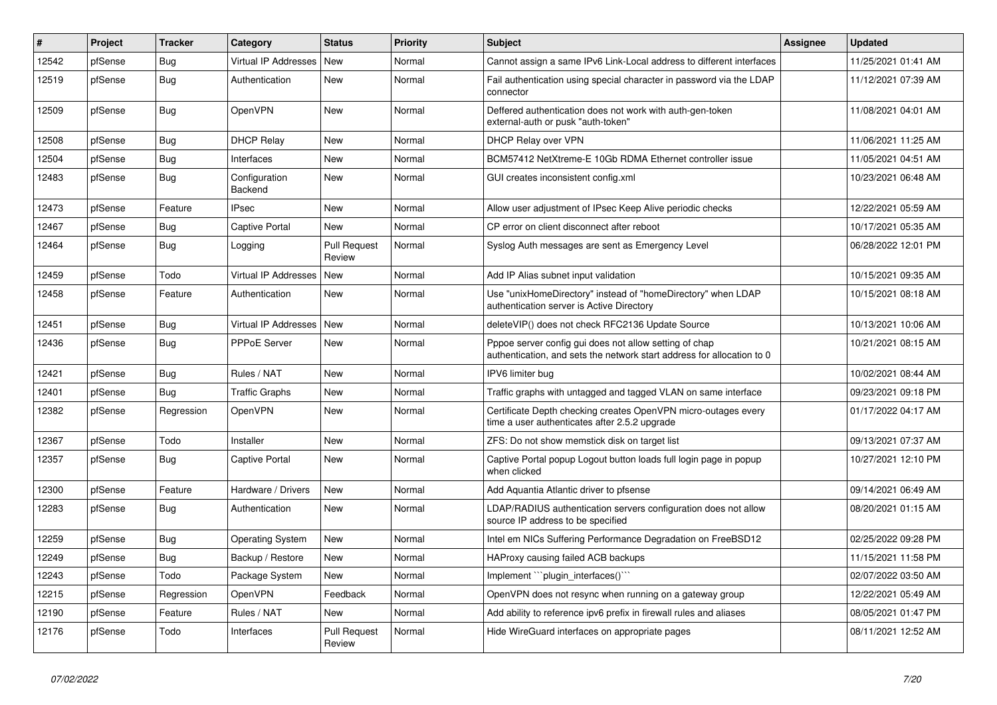| #     | Project | <b>Tracker</b> | Category                 | <b>Status</b>                 | <b>Priority</b> | <b>Subject</b>                                                                                                                   | <b>Assignee</b> | <b>Updated</b>      |
|-------|---------|----------------|--------------------------|-------------------------------|-----------------|----------------------------------------------------------------------------------------------------------------------------------|-----------------|---------------------|
| 12542 | pfSense | <b>Bug</b>     | Virtual IP Addresses     | <b>New</b>                    | Normal          | Cannot assign a same IPv6 Link-Local address to different interfaces                                                             |                 | 11/25/2021 01:41 AM |
| 12519 | pfSense | Bug            | Authentication           | New                           | Normal          | Fail authentication using special character in password via the LDAP<br>connector                                                |                 | 11/12/2021 07:39 AM |
| 12509 | pfSense | Bug            | OpenVPN                  | New                           | Normal          | Deffered authentication does not work with auth-gen-token<br>external-auth or pusk "auth-token"                                  |                 | 11/08/2021 04:01 AM |
| 12508 | pfSense | Bug            | <b>DHCP Relay</b>        | New                           | Normal          | DHCP Relay over VPN                                                                                                              |                 | 11/06/2021 11:25 AM |
| 12504 | pfSense | Bug            | Interfaces               | New                           | Normal          | BCM57412 NetXtreme-E 10Gb RDMA Ethernet controller issue                                                                         |                 | 11/05/2021 04:51 AM |
| 12483 | pfSense | Bug            | Configuration<br>Backend | New                           | Normal          | GUI creates inconsistent config.xml                                                                                              |                 | 10/23/2021 06:48 AM |
| 12473 | pfSense | Feature        | <b>IPsec</b>             | <b>New</b>                    | Normal          | Allow user adjustment of IPsec Keep Alive periodic checks                                                                        |                 | 12/22/2021 05:59 AM |
| 12467 | pfSense | Bug            | <b>Captive Portal</b>    | <b>New</b>                    | Normal          | CP error on client disconnect after reboot                                                                                       |                 | 10/17/2021 05:35 AM |
| 12464 | pfSense | Bug            | Logging                  | <b>Pull Request</b><br>Review | Normal          | Syslog Auth messages are sent as Emergency Level                                                                                 |                 | 06/28/2022 12:01 PM |
| 12459 | pfSense | Todo           | Virtual IP Addresses     | <b>New</b>                    | Normal          | Add IP Alias subnet input validation                                                                                             |                 | 10/15/2021 09:35 AM |
| 12458 | pfSense | Feature        | Authentication           | New                           | Normal          | Use "unixHomeDirectory" instead of "homeDirectory" when LDAP<br>authentication server is Active Directory                        |                 | 10/15/2021 08:18 AM |
| 12451 | pfSense | <b>Bug</b>     | Virtual IP Addresses     | <b>New</b>                    | Normal          | deleteVIP() does not check RFC2136 Update Source                                                                                 |                 | 10/13/2021 10:06 AM |
| 12436 | pfSense | Bug            | PPPoE Server             | New                           | Normal          | Pppoe server config gui does not allow setting of chap<br>authentication, and sets the network start address for allocation to 0 |                 | 10/21/2021 08:15 AM |
| 12421 | pfSense | Bug            | Rules / NAT              | New                           | Normal          | IPV6 limiter bug                                                                                                                 |                 | 10/02/2021 08:44 AM |
| 12401 | pfSense | Bug            | <b>Traffic Graphs</b>    | <b>New</b>                    | Normal          | Traffic graphs with untagged and tagged VLAN on same interface                                                                   |                 | 09/23/2021 09:18 PM |
| 12382 | pfSense | Regression     | OpenVPN                  | New                           | Normal          | Certificate Depth checking creates OpenVPN micro-outages every<br>time a user authenticates after 2.5.2 upgrade                  |                 | 01/17/2022 04:17 AM |
| 12367 | pfSense | Todo           | Installer                | New                           | Normal          | ZFS: Do not show memstick disk on target list                                                                                    |                 | 09/13/2021 07:37 AM |
| 12357 | pfSense | <b>Bug</b>     | <b>Captive Portal</b>    | New                           | Normal          | Captive Portal popup Logout button loads full login page in popup<br>when clicked                                                |                 | 10/27/2021 12:10 PM |
| 12300 | pfSense | Feature        | Hardware / Drivers       | New                           | Normal          | Add Aquantia Atlantic driver to pfsense                                                                                          |                 | 09/14/2021 06:49 AM |
| 12283 | pfSense | Bug            | Authentication           | New                           | Normal          | LDAP/RADIUS authentication servers configuration does not allow<br>source IP address to be specified                             |                 | 08/20/2021 01:15 AM |
| 12259 | pfSense | Bug            | <b>Operating System</b>  | New                           | Normal          | Intel em NICs Suffering Performance Degradation on FreeBSD12                                                                     |                 | 02/25/2022 09:28 PM |
| 12249 | pfSense | Bug            | Backup / Restore         | <b>New</b>                    | Normal          | HAProxy causing failed ACB backups                                                                                               |                 | 11/15/2021 11:58 PM |
| 12243 | pfSense | Todo           | Package System           | New                           | Normal          | Implement "``plugin_interfaces()``                                                                                               |                 | 02/07/2022 03:50 AM |
| 12215 | pfSense | Regression     | OpenVPN                  | Feedback                      | Normal          | OpenVPN does not resync when running on a gateway group                                                                          |                 | 12/22/2021 05:49 AM |
| 12190 | pfSense | Feature        | Rules / NAT              | New                           | Normal          | Add ability to reference ipv6 prefix in firewall rules and aliases                                                               |                 | 08/05/2021 01:47 PM |
| 12176 | pfSense | Todo           | Interfaces               | <b>Pull Request</b><br>Review | Normal          | Hide WireGuard interfaces on appropriate pages                                                                                   |                 | 08/11/2021 12:52 AM |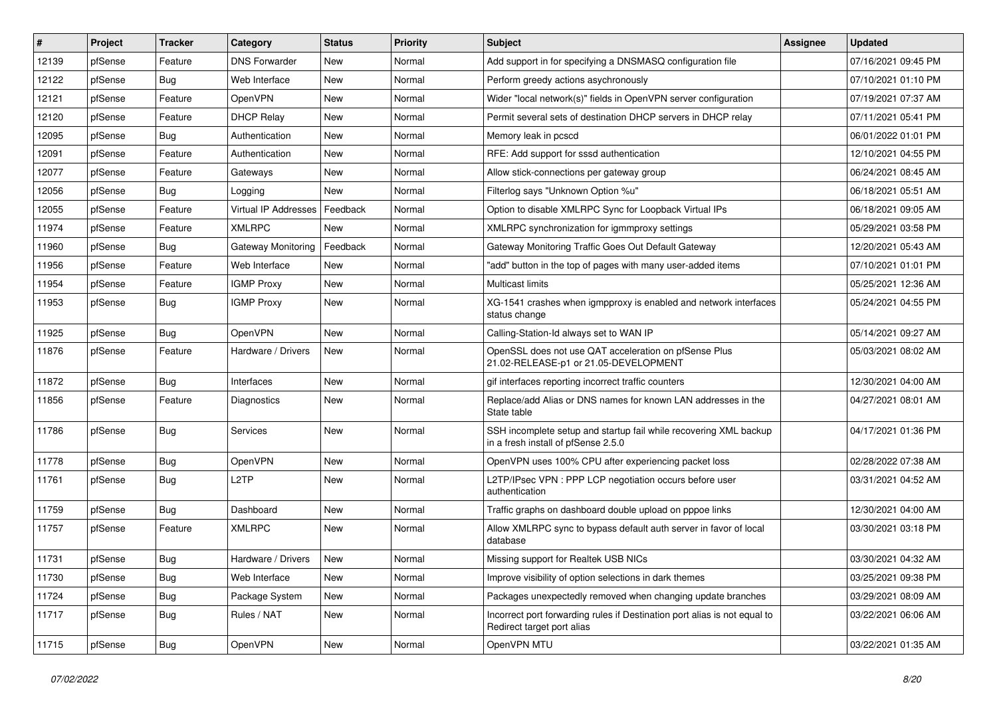| ∦     | Project | <b>Tracker</b> | Category             | <b>Status</b> | <b>Priority</b> | <b>Subject</b>                                                                                           | Assignee | <b>Updated</b>      |
|-------|---------|----------------|----------------------|---------------|-----------------|----------------------------------------------------------------------------------------------------------|----------|---------------------|
| 12139 | pfSense | Feature        | <b>DNS Forwarder</b> | <b>New</b>    | Normal          | Add support in for specifying a DNSMASQ configuration file                                               |          | 07/16/2021 09:45 PM |
| 12122 | pfSense | Bug            | Web Interface        | New           | Normal          | Perform greedy actions asychronously                                                                     |          | 07/10/2021 01:10 PM |
| 12121 | pfSense | Feature        | <b>OpenVPN</b>       | New           | Normal          | Wider "local network(s)" fields in OpenVPN server configuration                                          |          | 07/19/2021 07:37 AM |
| 12120 | pfSense | Feature        | <b>DHCP Relay</b>    | New           | Normal          | Permit several sets of destination DHCP servers in DHCP relay                                            |          | 07/11/2021 05:41 PM |
| 12095 | pfSense | <b>Bug</b>     | Authentication       | New           | Normal          | Memory leak in pcscd                                                                                     |          | 06/01/2022 01:01 PM |
| 12091 | pfSense | Feature        | Authentication       | New           | Normal          | RFE: Add support for sssd authentication                                                                 |          | 12/10/2021 04:55 PM |
| 12077 | pfSense | Feature        | Gateways             | New           | Normal          | Allow stick-connections per gateway group                                                                |          | 06/24/2021 08:45 AM |
| 12056 | pfSense | Bug            | Logging              | <b>New</b>    | Normal          | Filterlog says "Unknown Option %u"                                                                       |          | 06/18/2021 05:51 AM |
| 12055 | pfSense | Feature        | Virtual IP Addresses | Feedback      | Normal          | Option to disable XMLRPC Sync for Loopback Virtual IPs                                                   |          | 06/18/2021 09:05 AM |
| 11974 | pfSense | Feature        | <b>XMLRPC</b>        | <b>New</b>    | Normal          | XMLRPC synchronization for igmmproxy settings                                                            |          | 05/29/2021 03:58 PM |
| 11960 | pfSense | Bug            | Gateway Monitoring   | Feedback      | Normal          | Gateway Monitoring Traffic Goes Out Default Gateway                                                      |          | 12/20/2021 05:43 AM |
| 11956 | pfSense | Feature        | Web Interface        | <b>New</b>    | Normal          | "add" button in the top of pages with many user-added items                                              |          | 07/10/2021 01:01 PM |
| 11954 | pfSense | Feature        | <b>IGMP Proxy</b>    | New           | Normal          | <b>Multicast limits</b>                                                                                  |          | 05/25/2021 12:36 AM |
| 11953 | pfSense | Bug            | <b>IGMP Proxy</b>    | New           | Normal          | XG-1541 crashes when igmpproxy is enabled and network interfaces<br>status change                        |          | 05/24/2021 04:55 PM |
| 11925 | pfSense | Bug            | OpenVPN              | <b>New</b>    | Normal          | Calling-Station-Id always set to WAN IP                                                                  |          | 05/14/2021 09:27 AM |
| 11876 | pfSense | Feature        | Hardware / Drivers   | New           | Normal          | OpenSSL does not use QAT acceleration on pfSense Plus<br>21.02-RELEASE-p1 or 21.05-DEVELOPMENT           |          | 05/03/2021 08:02 AM |
| 11872 | pfSense | Bug            | Interfaces           | New           | Normal          | gif interfaces reporting incorrect traffic counters                                                      |          | 12/30/2021 04:00 AM |
| 11856 | pfSense | Feature        | Diagnostics          | New           | Normal          | Replace/add Alias or DNS names for known LAN addresses in the<br>State table                             |          | 04/27/2021 08:01 AM |
| 11786 | pfSense | Bug            | Services             | New           | Normal          | SSH incomplete setup and startup fail while recovering XML backup<br>in a fresh install of pfSense 2.5.0 |          | 04/17/2021 01:36 PM |
| 11778 | pfSense | Bug            | OpenVPN              | <b>New</b>    | Normal          | OpenVPN uses 100% CPU after experiencing packet loss                                                     |          | 02/28/2022 07:38 AM |
| 11761 | pfSense | Bug            | L <sub>2</sub> TP    | New           | Normal          | L2TP/IPsec VPN : PPP LCP negotiation occurs before user<br>authentication                                |          | 03/31/2021 04:52 AM |
| 11759 | pfSense | Bug            | Dashboard            | New           | Normal          | Traffic graphs on dashboard double upload on pppoe links                                                 |          | 12/30/2021 04:00 AM |
| 11757 | pfSense | Feature        | <b>XMLRPC</b>        | New           | Normal          | Allow XMLRPC sync to bypass default auth server in favor of local<br>database                            |          | 03/30/2021 03:18 PM |
| 11731 | pfSense | Bug            | Hardware / Drivers   | New           | Normal          | Missing support for Realtek USB NICs                                                                     |          | 03/30/2021 04:32 AM |
| 11730 | pfSense | <b>Bug</b>     | Web Interface        | New           | Normal          | Improve visibility of option selections in dark themes                                                   |          | 03/25/2021 09:38 PM |
| 11724 | pfSense | <b>Bug</b>     | Package System       | New           | Normal          | Packages unexpectedly removed when changing update branches                                              |          | 03/29/2021 08:09 AM |
| 11717 | pfSense | <b>Bug</b>     | Rules / NAT          | New           | Normal          | Incorrect port forwarding rules if Destination port alias is not equal to<br>Redirect target port alias  |          | 03/22/2021 06:06 AM |
| 11715 | pfSense | Bug            | OpenVPN              | New           | Normal          | OpenVPN MTU                                                                                              |          | 03/22/2021 01:35 AM |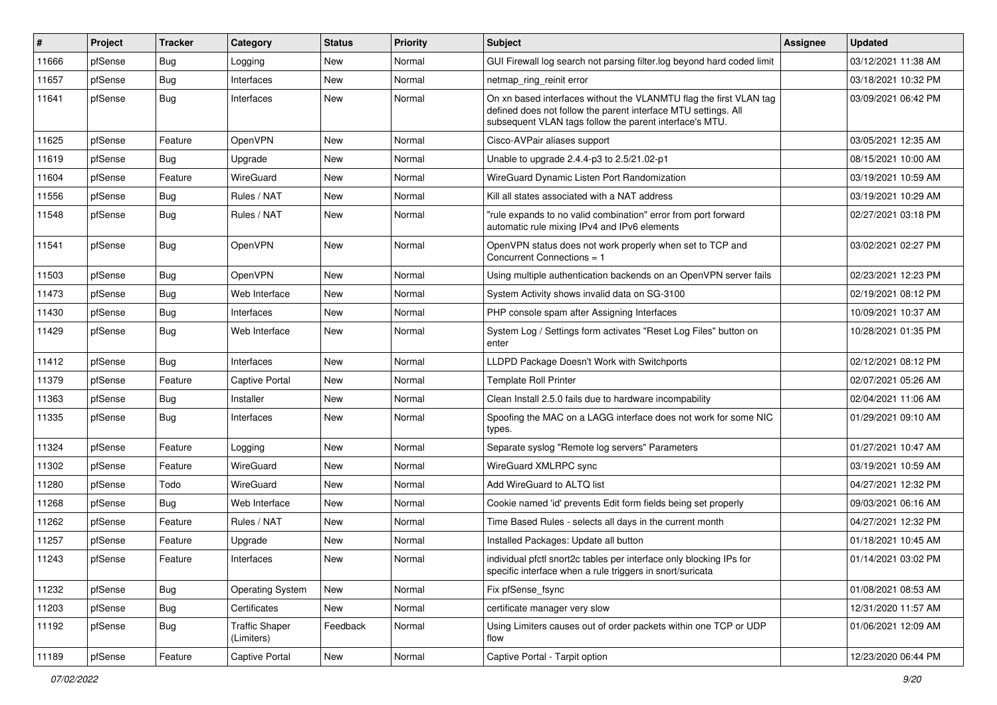| #     | Project | <b>Tracker</b> | Category                            | <b>Status</b> | <b>Priority</b> | <b>Subject</b>                                                                                                                                                                                  | <b>Assignee</b> | <b>Updated</b>      |
|-------|---------|----------------|-------------------------------------|---------------|-----------------|-------------------------------------------------------------------------------------------------------------------------------------------------------------------------------------------------|-----------------|---------------------|
| 11666 | pfSense | <b>Bug</b>     | Logging                             | New           | Normal          | GUI Firewall log search not parsing filter.log beyond hard coded limit                                                                                                                          |                 | 03/12/2021 11:38 AM |
| 11657 | pfSense | Bug            | Interfaces                          | New           | Normal          | netmap_ring_reinit error                                                                                                                                                                        |                 | 03/18/2021 10:32 PM |
| 11641 | pfSense | Bug            | Interfaces                          | New           | Normal          | On xn based interfaces without the VLANMTU flag the first VLAN tag<br>defined does not follow the parent interface MTU settings. All<br>subsequent VLAN tags follow the parent interface's MTU. |                 | 03/09/2021 06:42 PM |
| 11625 | pfSense | Feature        | OpenVPN                             | New           | Normal          | Cisco-AVPair aliases support                                                                                                                                                                    |                 | 03/05/2021 12:35 AM |
| 11619 | pfSense | Bug            | Upgrade                             | New           | Normal          | Unable to upgrade 2.4.4-p3 to 2.5/21.02-p1                                                                                                                                                      |                 | 08/15/2021 10:00 AM |
| 11604 | pfSense | Feature        | WireGuard                           | New           | Normal          | WireGuard Dynamic Listen Port Randomization                                                                                                                                                     |                 | 03/19/2021 10:59 AM |
| 11556 | pfSense | Bug            | Rules / NAT                         | New           | Normal          | Kill all states associated with a NAT address                                                                                                                                                   |                 | 03/19/2021 10:29 AM |
| 11548 | pfSense | Bug            | Rules / NAT                         | <b>New</b>    | Normal          | "rule expands to no valid combination" error from port forward<br>automatic rule mixing IPv4 and IPv6 elements                                                                                  |                 | 02/27/2021 03:18 PM |
| 11541 | pfSense | Bug            | OpenVPN                             | New           | Normal          | OpenVPN status does not work properly when set to TCP and<br>Concurrent Connections = 1                                                                                                         |                 | 03/02/2021 02:27 PM |
| 11503 | pfSense | Bug            | <b>OpenVPN</b>                      | New           | Normal          | Using multiple authentication backends on an OpenVPN server fails                                                                                                                               |                 | 02/23/2021 12:23 PM |
| 11473 | pfSense | Bug            | Web Interface                       | <b>New</b>    | Normal          | System Activity shows invalid data on SG-3100                                                                                                                                                   |                 | 02/19/2021 08:12 PM |
| 11430 | pfSense | Bug            | Interfaces                          | New           | Normal          | PHP console spam after Assigning Interfaces                                                                                                                                                     |                 | 10/09/2021 10:37 AM |
| 11429 | pfSense | Bug            | Web Interface                       | New           | Normal          | System Log / Settings form activates "Reset Log Files" button on<br>enter                                                                                                                       |                 | 10/28/2021 01:35 PM |
| 11412 | pfSense | Bug            | Interfaces                          | <b>New</b>    | Normal          | LLDPD Package Doesn't Work with Switchports                                                                                                                                                     |                 | 02/12/2021 08:12 PM |
| 11379 | pfSense | Feature        | <b>Captive Portal</b>               | New           | Normal          | <b>Template Roll Printer</b>                                                                                                                                                                    |                 | 02/07/2021 05:26 AM |
| 11363 | pfSense | Bug            | Installer                           | New           | Normal          | Clean Install 2.5.0 fails due to hardware incompability                                                                                                                                         |                 | 02/04/2021 11:06 AM |
| 11335 | pfSense | Bug            | Interfaces                          | New           | Normal          | Spoofing the MAC on a LAGG interface does not work for some NIC<br>types.                                                                                                                       |                 | 01/29/2021 09:10 AM |
| 11324 | pfSense | Feature        | Logging                             | <b>New</b>    | Normal          | Separate syslog "Remote log servers" Parameters                                                                                                                                                 |                 | 01/27/2021 10:47 AM |
| 11302 | pfSense | Feature        | WireGuard                           | New           | Normal          | WireGuard XMLRPC sync                                                                                                                                                                           |                 | 03/19/2021 10:59 AM |
| 11280 | pfSense | Todo           | WireGuard                           | <b>New</b>    | Normal          | Add WireGuard to ALTQ list                                                                                                                                                                      |                 | 04/27/2021 12:32 PM |
| 11268 | pfSense | Bug            | Web Interface                       | New           | Normal          | Cookie named 'id' prevents Edit form fields being set properly                                                                                                                                  |                 | 09/03/2021 06:16 AM |
| 11262 | pfSense | Feature        | Rules / NAT                         | <b>New</b>    | Normal          | Time Based Rules - selects all days in the current month                                                                                                                                        |                 | 04/27/2021 12:32 PM |
| 11257 | pfSense | Feature        | Upgrade                             | New           | Normal          | Installed Packages: Update all button                                                                                                                                                           |                 | 01/18/2021 10:45 AM |
| 11243 | pfSense | Feature        | Interfaces                          | New           | Normal          | individual pfctl snort2c tables per interface only blocking IPs for<br>specific interface when a rule triggers in snort/suricata                                                                |                 | 01/14/2021 03:02 PM |
| 11232 | pfSense | <b>Bug</b>     | <b>Operating System</b>             | New           | Normal          | Fix pfSense_fsync                                                                                                                                                                               |                 | 01/08/2021 08:53 AM |
| 11203 | pfSense | <b>Bug</b>     | Certificates                        | New           | Normal          | certificate manager very slow                                                                                                                                                                   |                 | 12/31/2020 11:57 AM |
| 11192 | pfSense | <b>Bug</b>     | <b>Traffic Shaper</b><br>(Limiters) | Feedback      | Normal          | Using Limiters causes out of order packets within one TCP or UDP<br>flow                                                                                                                        |                 | 01/06/2021 12:09 AM |
| 11189 | pfSense | Feature        | <b>Captive Portal</b>               | New           | Normal          | Captive Portal - Tarpit option                                                                                                                                                                  |                 | 12/23/2020 06:44 PM |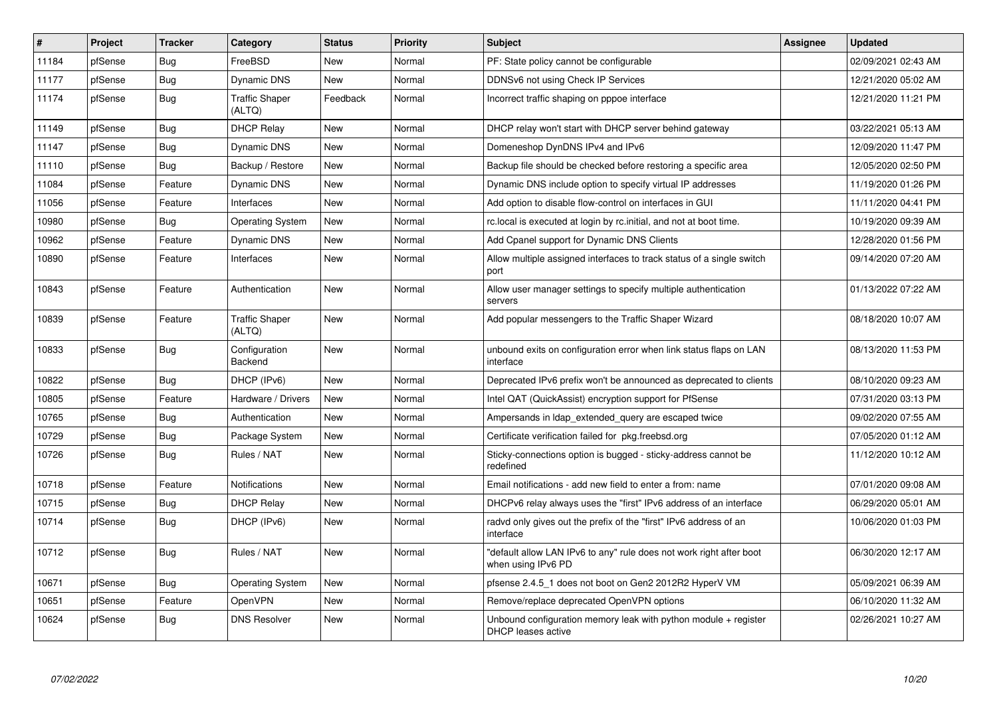| $\vert$ # | Project | <b>Tracker</b> | Category                        | <b>Status</b> | Priority | <b>Subject</b>                                                                            | <b>Assignee</b> | <b>Updated</b>      |
|-----------|---------|----------------|---------------------------------|---------------|----------|-------------------------------------------------------------------------------------------|-----------------|---------------------|
| 11184     | pfSense | Bug            | FreeBSD                         | <b>New</b>    | Normal   | PF: State policy cannot be configurable                                                   |                 | 02/09/2021 02:43 AM |
| 11177     | pfSense | Bug            | <b>Dynamic DNS</b>              | New           | Normal   | DDNSv6 not using Check IP Services                                                        |                 | 12/21/2020 05:02 AM |
| 11174     | pfSense | Bug            | <b>Traffic Shaper</b><br>(ALTQ) | Feedback      | Normal   | Incorrect traffic shaping on pppoe interface                                              |                 | 12/21/2020 11:21 PM |
| 11149     | pfSense | Bug            | <b>DHCP Relay</b>               | New           | Normal   | DHCP relay won't start with DHCP server behind gateway                                    |                 | 03/22/2021 05:13 AM |
| 11147     | pfSense | Bug            | <b>Dynamic DNS</b>              | New           | Normal   | Domeneshop DynDNS IPv4 and IPv6                                                           |                 | 12/09/2020 11:47 PM |
| 11110     | pfSense | <b>Bug</b>     | Backup / Restore                | New           | Normal   | Backup file should be checked before restoring a specific area                            |                 | 12/05/2020 02:50 PM |
| 11084     | pfSense | Feature        | Dynamic DNS                     | New           | Normal   | Dynamic DNS include option to specify virtual IP addresses                                |                 | 11/19/2020 01:26 PM |
| 11056     | pfSense | Feature        | Interfaces                      | <b>New</b>    | Normal   | Add option to disable flow-control on interfaces in GUI                                   |                 | 11/11/2020 04:41 PM |
| 10980     | pfSense | <b>Bug</b>     | <b>Operating System</b>         | <b>New</b>    | Normal   | rc.local is executed at login by rc.initial, and not at boot time.                        |                 | 10/19/2020 09:39 AM |
| 10962     | pfSense | Feature        | Dynamic DNS                     | <b>New</b>    | Normal   | Add Cpanel support for Dynamic DNS Clients                                                |                 | 12/28/2020 01:56 PM |
| 10890     | pfSense | Feature        | Interfaces                      | <b>New</b>    | Normal   | Allow multiple assigned interfaces to track status of a single switch<br>port             |                 | 09/14/2020 07:20 AM |
| 10843     | pfSense | Feature        | Authentication                  | <b>New</b>    | Normal   | Allow user manager settings to specify multiple authentication<br>servers                 |                 | 01/13/2022 07:22 AM |
| 10839     | pfSense | Feature        | <b>Traffic Shaper</b><br>(ALTQ) | <b>New</b>    | Normal   | Add popular messengers to the Traffic Shaper Wizard                                       |                 | 08/18/2020 10:07 AM |
| 10833     | pfSense | <b>Bug</b>     | Configuration<br>Backend        | <b>New</b>    | Normal   | unbound exits on configuration error when link status flaps on LAN<br>interface           |                 | 08/13/2020 11:53 PM |
| 10822     | pfSense | <b>Bug</b>     | DHCP (IPv6)                     | <b>New</b>    | Normal   | Deprecated IPv6 prefix won't be announced as deprecated to clients                        |                 | 08/10/2020 09:23 AM |
| 10805     | pfSense | Feature        | Hardware / Drivers              | <b>New</b>    | Normal   | Intel QAT (QuickAssist) encryption support for PfSense                                    |                 | 07/31/2020 03:13 PM |
| 10765     | pfSense | Bug            | Authentication                  | <b>New</b>    | Normal   | Ampersands in Idap extended query are escaped twice                                       |                 | 09/02/2020 07:55 AM |
| 10729     | pfSense | Bug            | Package System                  | <b>New</b>    | Normal   | Certificate verification failed for pkg.freebsd.org                                       |                 | 07/05/2020 01:12 AM |
| 10726     | pfSense | Bug            | Rules / NAT                     | New           | Normal   | Sticky-connections option is bugged - sticky-address cannot be<br>redefined               |                 | 11/12/2020 10:12 AM |
| 10718     | pfSense | Feature        | <b>Notifications</b>            | <b>New</b>    | Normal   | Email notifications - add new field to enter a from: name                                 |                 | 07/01/2020 09:08 AM |
| 10715     | pfSense | Bug            | <b>DHCP Relay</b>               | New           | Normal   | DHCPv6 relay always uses the "first" IPv6 address of an interface                         |                 | 06/29/2020 05:01 AM |
| 10714     | pfSense | Bug            | DHCP (IPv6)                     | New           | Normal   | radvd only gives out the prefix of the "first" IPv6 address of an<br>interface            |                 | 10/06/2020 01:03 PM |
| 10712     | pfSense | <b>Bug</b>     | Rules / NAT                     | <b>New</b>    | Normal   | "default allow LAN IPv6 to any" rule does not work right after boot<br>when using IPv6 PD |                 | 06/30/2020 12:17 AM |
| 10671     | pfSense | <b>Bug</b>     | Operating System                | <b>New</b>    | Normal   | pfsense 2.4.5 1 does not boot on Gen2 2012R2 HyperV VM                                    |                 | 05/09/2021 06:39 AM |
| 10651     | pfSense | Feature        | OpenVPN                         | <b>New</b>    | Normal   | Remove/replace deprecated OpenVPN options                                                 |                 | 06/10/2020 11:32 AM |
| 10624     | pfSense | <b>Bug</b>     | <b>DNS Resolver</b>             | <b>New</b>    | Normal   | Unbound configuration memory leak with python module $+$ register<br>DHCP leases active   |                 | 02/26/2021 10:27 AM |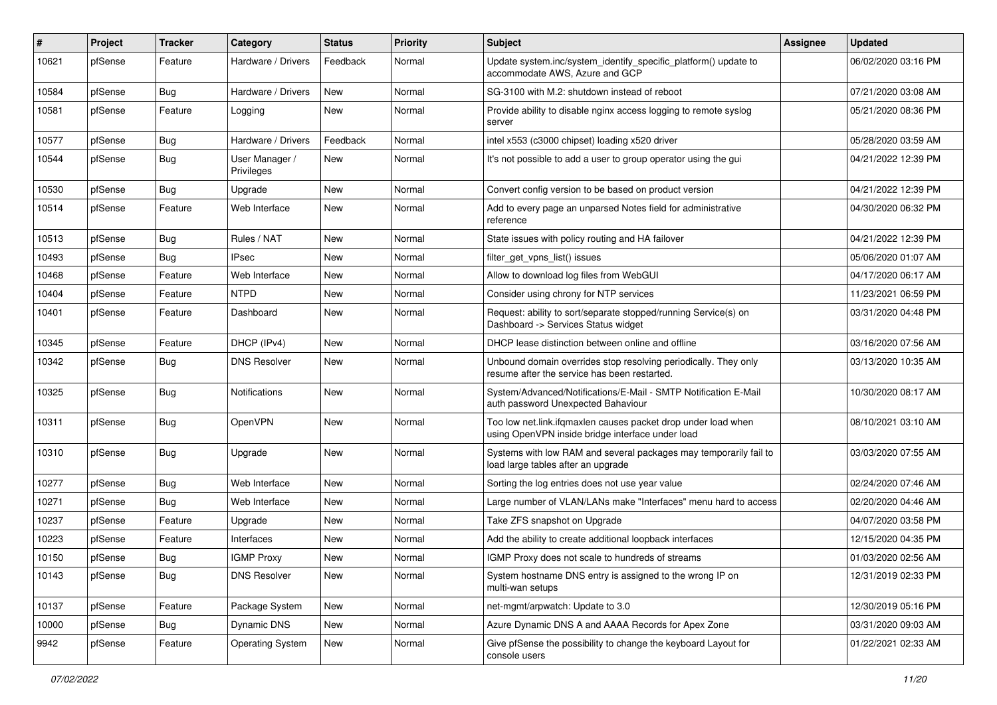| #     | Project | <b>Tracker</b> | Category                     | <b>Status</b> | Priority | Subject                                                                                                           | <b>Assignee</b> | <b>Updated</b>      |
|-------|---------|----------------|------------------------------|---------------|----------|-------------------------------------------------------------------------------------------------------------------|-----------------|---------------------|
| 10621 | pfSense | Feature        | Hardware / Drivers           | Feedback      | Normal   | Update system.inc/system_identify_specific_platform() update to<br>accommodate AWS, Azure and GCP                 |                 | 06/02/2020 03:16 PM |
| 10584 | pfSense | Bug            | Hardware / Drivers           | New           | Normal   | SG-3100 with M.2: shutdown instead of reboot                                                                      |                 | 07/21/2020 03:08 AM |
| 10581 | pfSense | Feature        | Logging                      | New           | Normal   | Provide ability to disable nginx access logging to remote syslog<br>server                                        |                 | 05/21/2020 08:36 PM |
| 10577 | pfSense | Bug            | Hardware / Drivers           | Feedback      | Normal   | intel x553 (c3000 chipset) loading x520 driver                                                                    |                 | 05/28/2020 03:59 AM |
| 10544 | pfSense | <b>Bug</b>     | User Manager /<br>Privileges | New           | Normal   | It's not possible to add a user to group operator using the gui                                                   |                 | 04/21/2022 12:39 PM |
| 10530 | pfSense | Bug            | Upgrade                      | New           | Normal   | Convert config version to be based on product version                                                             |                 | 04/21/2022 12:39 PM |
| 10514 | pfSense | Feature        | Web Interface                | New           | Normal   | Add to every page an unparsed Notes field for administrative<br>reference                                         |                 | 04/30/2020 06:32 PM |
| 10513 | pfSense | Bug            | Rules / NAT                  | New           | Normal   | State issues with policy routing and HA failover                                                                  |                 | 04/21/2022 12:39 PM |
| 10493 | pfSense | <b>Bug</b>     | <b>IPsec</b>                 | New           | Normal   | filter_get_vpns_list() issues                                                                                     |                 | 05/06/2020 01:07 AM |
| 10468 | pfSense | Feature        | Web Interface                | New           | Normal   | Allow to download log files from WebGUI                                                                           |                 | 04/17/2020 06:17 AM |
| 10404 | pfSense | Feature        | <b>NTPD</b>                  | New           | Normal   | Consider using chrony for NTP services                                                                            |                 | 11/23/2021 06:59 PM |
| 10401 | pfSense | Feature        | Dashboard                    | New           | Normal   | Request: ability to sort/separate stopped/running Service(s) on<br>Dashboard -> Services Status widget            |                 | 03/31/2020 04:48 PM |
| 10345 | pfSense | Feature        | DHCP (IPv4)                  | New           | Normal   | DHCP lease distinction between online and offline                                                                 |                 | 03/16/2020 07:56 AM |
| 10342 | pfSense | Bug            | <b>DNS Resolver</b>          | New           | Normal   | Unbound domain overrides stop resolving periodically. They only<br>resume after the service has been restarted.   |                 | 03/13/2020 10:35 AM |
| 10325 | pfSense | Bug            | Notifications                | New           | Normal   | System/Advanced/Notifications/E-Mail - SMTP Notification E-Mail<br>auth password Unexpected Bahaviour             |                 | 10/30/2020 08:17 AM |
| 10311 | pfSense | Bug            | OpenVPN                      | New           | Normal   | Too low net.link.ifqmaxlen causes packet drop under load when<br>using OpenVPN inside bridge interface under load |                 | 08/10/2021 03:10 AM |
| 10310 | pfSense | Bug            | Upgrade                      | New           | Normal   | Systems with low RAM and several packages may temporarily fail to<br>load large tables after an upgrade           |                 | 03/03/2020 07:55 AM |
| 10277 | pfSense | <b>Bug</b>     | Web Interface                | New           | Normal   | Sorting the log entries does not use year value                                                                   |                 | 02/24/2020 07:46 AM |
| 10271 | pfSense | Bug            | Web Interface                | New           | Normal   | Large number of VLAN/LANs make "Interfaces" menu hard to access                                                   |                 | 02/20/2020 04:46 AM |
| 10237 | pfSense | Feature        | Upgrade                      | New           | Normal   | Take ZFS snapshot on Upgrade                                                                                      |                 | 04/07/2020 03:58 PM |
| 10223 | pfSense | Feature        | Interfaces                   | New           | Normal   | Add the ability to create additional loopback interfaces                                                          |                 | 12/15/2020 04:35 PM |
| 10150 | pfSense | <b>Bug</b>     | <b>IGMP Proxy</b>            | New           | Normal   | IGMP Proxy does not scale to hundreds of streams                                                                  |                 | 01/03/2020 02:56 AM |
| 10143 | pfSense | <b>Bug</b>     | <b>DNS Resolver</b>          | New           | Normal   | System hostname DNS entry is assigned to the wrong IP on<br>multi-wan setups                                      |                 | 12/31/2019 02:33 PM |
| 10137 | pfSense | Feature        | Package System               | New           | Normal   | net-mgmt/arpwatch: Update to 3.0                                                                                  |                 | 12/30/2019 05:16 PM |
| 10000 | pfSense | <b>Bug</b>     | Dynamic DNS                  | New           | Normal   | Azure Dynamic DNS A and AAAA Records for Apex Zone                                                                |                 | 03/31/2020 09:03 AM |
| 9942  | pfSense | Feature        | <b>Operating System</b>      | New           | Normal   | Give pfSense the possibility to change the keyboard Layout for<br>console users                                   |                 | 01/22/2021 02:33 AM |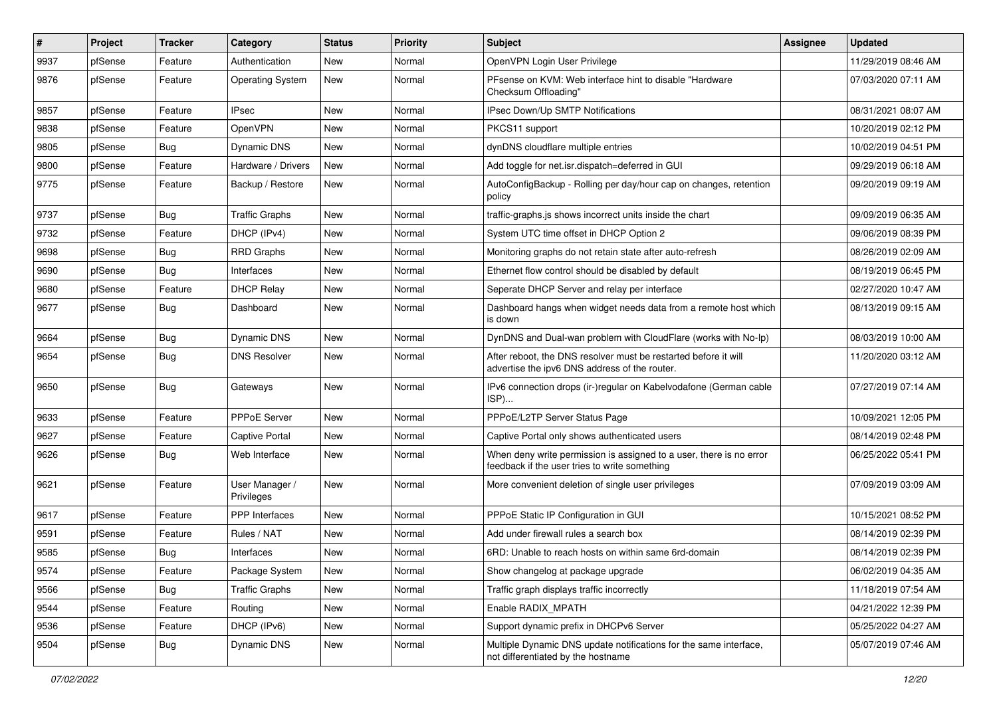| $\sharp$ | Project | <b>Tracker</b> | Category                     | <b>Status</b> | <b>Priority</b> | <b>Subject</b>                                                                                                       | <b>Assignee</b> | <b>Updated</b>      |
|----------|---------|----------------|------------------------------|---------------|-----------------|----------------------------------------------------------------------------------------------------------------------|-----------------|---------------------|
| 9937     | pfSense | Feature        | Authentication               | New           | Normal          | OpenVPN Login User Privilege                                                                                         |                 | 11/29/2019 08:46 AM |
| 9876     | pfSense | Feature        | <b>Operating System</b>      | New           | Normal          | PFsense on KVM: Web interface hint to disable "Hardware"<br>Checksum Offloading"                                     |                 | 07/03/2020 07:11 AM |
| 9857     | pfSense | Feature        | <b>IPsec</b>                 | <b>New</b>    | Normal          | IPsec Down/Up SMTP Notifications                                                                                     |                 | 08/31/2021 08:07 AM |
| 9838     | pfSense | Feature        | OpenVPN                      | New           | Normal          | PKCS11 support                                                                                                       |                 | 10/20/2019 02:12 PM |
| 9805     | pfSense | Bug            | Dynamic DNS                  | New           | Normal          | dynDNS cloudflare multiple entries                                                                                   |                 | 10/02/2019 04:51 PM |
| 9800     | pfSense | Feature        | Hardware / Drivers           | New           | Normal          | Add toggle for net.isr.dispatch=deferred in GUI                                                                      |                 | 09/29/2019 06:18 AM |
| 9775     | pfSense | Feature        | Backup / Restore             | New           | Normal          | AutoConfigBackup - Rolling per day/hour cap on changes, retention<br>policy                                          |                 | 09/20/2019 09:19 AM |
| 9737     | pfSense | Bug            | <b>Traffic Graphs</b>        | New           | Normal          | traffic-graphs.js shows incorrect units inside the chart                                                             |                 | 09/09/2019 06:35 AM |
| 9732     | pfSense | Feature        | DHCP (IPv4)                  | New           | Normal          | System UTC time offset in DHCP Option 2                                                                              |                 | 09/06/2019 08:39 PM |
| 9698     | pfSense | Bug            | <b>RRD Graphs</b>            | <b>New</b>    | Normal          | Monitoring graphs do not retain state after auto-refresh                                                             |                 | 08/26/2019 02:09 AM |
| 9690     | pfSense | Bug            | Interfaces                   | New           | Normal          | Ethernet flow control should be disabled by default                                                                  |                 | 08/19/2019 06:45 PM |
| 9680     | pfSense | Feature        | <b>DHCP Relay</b>            | New           | Normal          | Seperate DHCP Server and relay per interface                                                                         |                 | 02/27/2020 10:47 AM |
| 9677     | pfSense | Bug            | Dashboard                    | New           | Normal          | Dashboard hangs when widget needs data from a remote host which<br>is down                                           |                 | 08/13/2019 09:15 AM |
| 9664     | pfSense | Bug            | Dynamic DNS                  | <b>New</b>    | Normal          | DynDNS and Dual-wan problem with CloudFlare (works with No-Ip)                                                       |                 | 08/03/2019 10:00 AM |
| 9654     | pfSense | Bug            | <b>DNS Resolver</b>          | <b>New</b>    | Normal          | After reboot, the DNS resolver must be restarted before it will<br>advertise the ipv6 DNS address of the router.     |                 | 11/20/2020 03:12 AM |
| 9650     | pfSense | Bug            | Gateways                     | New           | Normal          | IPv6 connection drops (ir-)regular on Kabelvodafone (German cable<br>ISP)                                            |                 | 07/27/2019 07:14 AM |
| 9633     | pfSense | Feature        | <b>PPPoE Server</b>          | <b>New</b>    | Normal          | PPPoE/L2TP Server Status Page                                                                                        |                 | 10/09/2021 12:05 PM |
| 9627     | pfSense | Feature        | <b>Captive Portal</b>        | New           | Normal          | Captive Portal only shows authenticated users                                                                        |                 | 08/14/2019 02:48 PM |
| 9626     | pfSense | <b>Bug</b>     | Web Interface                | New           | Normal          | When deny write permission is assigned to a user, there is no error<br>feedback if the user tries to write something |                 | 06/25/2022 05:41 PM |
| 9621     | pfSense | Feature        | User Manager /<br>Privileges | <b>New</b>    | Normal          | More convenient deletion of single user privileges                                                                   |                 | 07/09/2019 03:09 AM |
| 9617     | pfSense | Feature        | PPP Interfaces               | <b>New</b>    | Normal          | PPPoE Static IP Configuration in GUI                                                                                 |                 | 10/15/2021 08:52 PM |
| 9591     | pfSense | Feature        | Rules / NAT                  | New           | Normal          | Add under firewall rules a search box                                                                                |                 | 08/14/2019 02:39 PM |
| 9585     | pfSense | Bug            | Interfaces                   | New           | Normal          | 6RD: Unable to reach hosts on within same 6rd-domain                                                                 |                 | 08/14/2019 02:39 PM |
| 9574     | pfSense | Feature        | Package System               | New           | Normal          | Show changelog at package upgrade                                                                                    |                 | 06/02/2019 04:35 AM |
| 9566     | pfSense | <b>Bug</b>     | <b>Traffic Graphs</b>        | New           | Normal          | Traffic graph displays traffic incorrectly                                                                           |                 | 11/18/2019 07:54 AM |
| 9544     | pfSense | Feature        | Routing                      | New           | Normal          | Enable RADIX_MPATH                                                                                                   |                 | 04/21/2022 12:39 PM |
| 9536     | pfSense | Feature        | DHCP (IPv6)                  | New           | Normal          | Support dynamic prefix in DHCPv6 Server                                                                              |                 | 05/25/2022 04:27 AM |
| 9504     | pfSense | Bug            | Dynamic DNS                  | New           | Normal          | Multiple Dynamic DNS update notifications for the same interface,<br>not differentiated by the hostname              |                 | 05/07/2019 07:46 AM |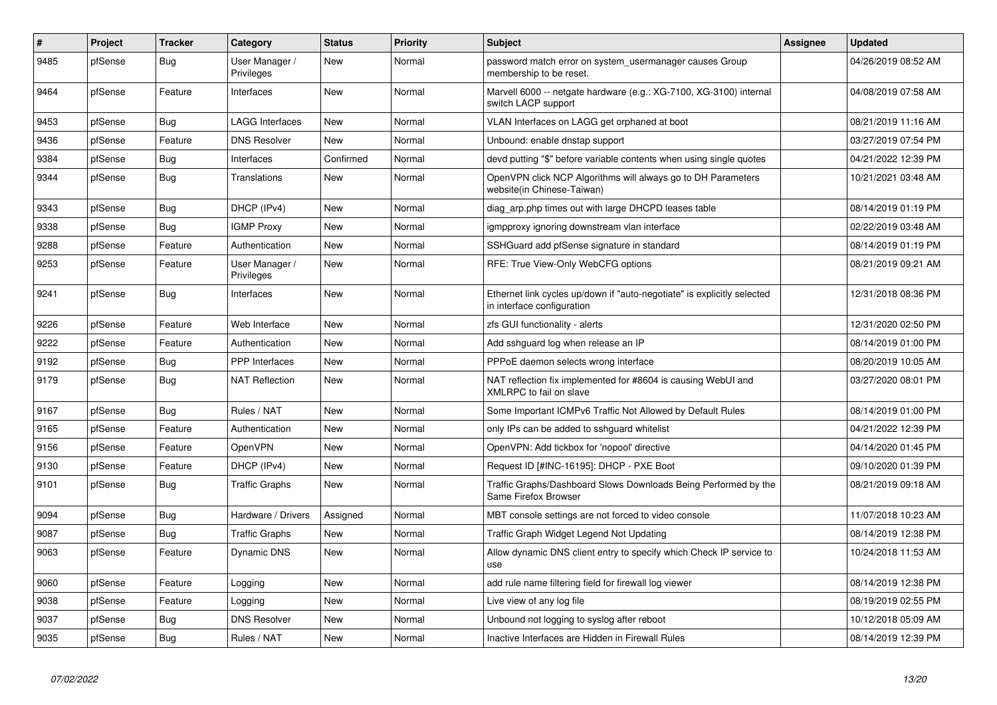| #    | <b>Project</b> | <b>Tracker</b> | Category                     | <b>Status</b> | <b>Priority</b> | <b>Subject</b>                                                                                        | <b>Assignee</b> | <b>Updated</b>      |
|------|----------------|----------------|------------------------------|---------------|-----------------|-------------------------------------------------------------------------------------------------------|-----------------|---------------------|
| 9485 | pfSense        | Bug            | User Manager /<br>Privileges | <b>New</b>    | Normal          | password match error on system_usermanager causes Group<br>membership to be reset.                    |                 | 04/26/2019 08:52 AM |
| 9464 | pfSense        | Feature        | Interfaces                   | <b>New</b>    | Normal          | Marvell 6000 -- netgate hardware (e.g.: XG-7100, XG-3100) internal<br>switch LACP support             |                 | 04/08/2019 07:58 AM |
| 9453 | pfSense        | <b>Bug</b>     | <b>LAGG Interfaces</b>       | <b>New</b>    | Normal          | VLAN Interfaces on LAGG get orphaned at boot                                                          |                 | 08/21/2019 11:16 AM |
| 9436 | pfSense        | Feature        | <b>DNS Resolver</b>          | <b>New</b>    | Normal          | Unbound: enable dnstap support                                                                        |                 | 03/27/2019 07:54 PM |
| 9384 | pfSense        | Bug            | Interfaces                   | Confirmed     | Normal          | devd putting "\$" before variable contents when using single quotes                                   |                 | 04/21/2022 12:39 PM |
| 9344 | pfSense        | <b>Bug</b>     | Translations                 | <b>New</b>    | Normal          | OpenVPN click NCP Algorithms will always go to DH Parameters<br>website(in Chinese-Taiwan)            |                 | 10/21/2021 03:48 AM |
| 9343 | pfSense        | Bug            | DHCP (IPv4)                  | <b>New</b>    | Normal          | diag arp.php times out with large DHCPD leases table                                                  |                 | 08/14/2019 01:19 PM |
| 9338 | pfSense        | <b>Bug</b>     | <b>IGMP Proxy</b>            | <b>New</b>    | Normal          | igmpproxy ignoring downstream vlan interface                                                          |                 | 02/22/2019 03:48 AM |
| 9288 | pfSense        | Feature        | Authentication               | <b>New</b>    | Normal          | SSHGuard add pfSense signature in standard                                                            |                 | 08/14/2019 01:19 PM |
| 9253 | pfSense        | Feature        | User Manager /<br>Privileges | New           | Normal          | RFE: True View-Only WebCFG options                                                                    |                 | 08/21/2019 09:21 AM |
| 9241 | pfSense        | <b>Bug</b>     | Interfaces                   | <b>New</b>    | Normal          | Ethernet link cycles up/down if "auto-negotiate" is explicitly selected<br>in interface configuration |                 | 12/31/2018 08:36 PM |
| 9226 | pfSense        | Feature        | Web Interface                | New           | Normal          | zfs GUI functionality - alerts                                                                        |                 | 12/31/2020 02:50 PM |
| 9222 | pfSense        | Feature        | Authentication               | <b>New</b>    | Normal          | Add sshguard log when release an IP                                                                   |                 | 08/14/2019 01:00 PM |
| 9192 | pfSense        | Bug            | <b>PPP</b> Interfaces        | <b>New</b>    | Normal          | PPPoE daemon selects wrong interface                                                                  |                 | 08/20/2019 10:05 AM |
| 9179 | pfSense        | Bug            | <b>NAT Reflection</b>        | <b>New</b>    | Normal          | NAT reflection fix implemented for #8604 is causing WebUI and<br>XMLRPC to fail on slave              |                 | 03/27/2020 08:01 PM |
| 9167 | pfSense        | Bug            | Rules / NAT                  | <b>New</b>    | Normal          | Some Important ICMPv6 Traffic Not Allowed by Default Rules                                            |                 | 08/14/2019 01:00 PM |
| 9165 | pfSense        | Feature        | Authentication               | <b>New</b>    | Normal          | only IPs can be added to sshguard whitelist                                                           |                 | 04/21/2022 12:39 PM |
| 9156 | pfSense        | Feature        | OpenVPN                      | <b>New</b>    | Normal          | OpenVPN: Add tickbox for 'nopool' directive                                                           |                 | 04/14/2020 01:45 PM |
| 9130 | pfSense        | Feature        | DHCP (IPv4)                  | <b>New</b>    | Normal          | Request ID [#INC-16195]: DHCP - PXE Boot                                                              |                 | 09/10/2020 01:39 PM |
| 9101 | pfSense        | Bug            | <b>Traffic Graphs</b>        | <b>New</b>    | Normal          | Traffic Graphs/Dashboard Slows Downloads Being Performed by the<br>Same Firefox Browser               |                 | 08/21/2019 09:18 AM |
| 9094 | pfSense        | Bug            | Hardware / Drivers           | Assigned      | Normal          | MBT console settings are not forced to video console                                                  |                 | 11/07/2018 10:23 AM |
| 9087 | pfSense        | <b>Bug</b>     | <b>Traffic Graphs</b>        | <b>New</b>    | Normal          | Traffic Graph Widget Legend Not Updating                                                              |                 | 08/14/2019 12:38 PM |
| 9063 | pfSense        | Feature        | Dynamic DNS                  | <b>New</b>    | Normal          | Allow dynamic DNS client entry to specify which Check IP service to<br>use                            |                 | 10/24/2018 11:53 AM |
| 9060 | pfSense        | Feature        | Logging                      | <b>New</b>    | Normal          | add rule name filtering field for firewall log viewer                                                 |                 | 08/14/2019 12:38 PM |
| 9038 | pfSense        | Feature        | Logging                      | New           | Normal          | Live view of any log file                                                                             |                 | 08/19/2019 02:55 PM |
| 9037 | pfSense        | Bug            | <b>DNS Resolver</b>          | <b>New</b>    | Normal          | Unbound not logging to syslog after reboot                                                            |                 | 10/12/2018 05:09 AM |
| 9035 | pfSense        | Bug            | Rules / NAT                  | New           | Normal          | Inactive Interfaces are Hidden in Firewall Rules                                                      |                 | 08/14/2019 12:39 PM |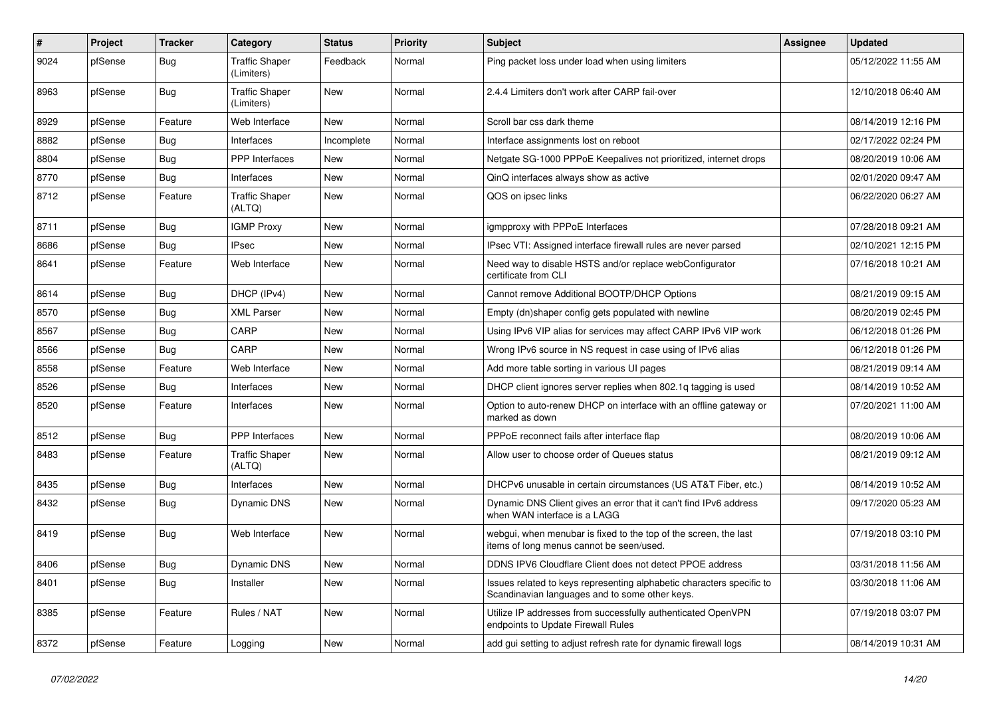| $\vert$ # | Project | <b>Tracker</b> | Category                            | <b>Status</b> | Priority | <b>Subject</b>                                                                                                          | <b>Assignee</b> | <b>Updated</b>      |
|-----------|---------|----------------|-------------------------------------|---------------|----------|-------------------------------------------------------------------------------------------------------------------------|-----------------|---------------------|
| 9024      | pfSense | Bug            | <b>Traffic Shaper</b><br>(Limiters) | Feedback      | Normal   | Ping packet loss under load when using limiters                                                                         |                 | 05/12/2022 11:55 AM |
| 8963      | pfSense | Bug            | <b>Traffic Shaper</b><br>(Limiters) | <b>New</b>    | Normal   | 2.4.4 Limiters don't work after CARP fail-over                                                                          |                 | 12/10/2018 06:40 AM |
| 8929      | pfSense | Feature        | Web Interface                       | <b>New</b>    | Normal   | Scroll bar css dark theme                                                                                               |                 | 08/14/2019 12:16 PM |
| 8882      | pfSense | Bug            | Interfaces                          | Incomplete    | Normal   | Interface assignments lost on reboot                                                                                    |                 | 02/17/2022 02:24 PM |
| 8804      | pfSense | <b>Bug</b>     | <b>PPP</b> Interfaces               | <b>New</b>    | Normal   | Netgate SG-1000 PPPoE Keepalives not prioritized, internet drops                                                        |                 | 08/20/2019 10:06 AM |
| 8770      | pfSense | <b>Bug</b>     | Interfaces                          | <b>New</b>    | Normal   | QinQ interfaces always show as active                                                                                   |                 | 02/01/2020 09:47 AM |
| 8712      | pfSense | Feature        | <b>Traffic Shaper</b><br>(ALTQ)     | <b>New</b>    | Normal   | QOS on ipsec links                                                                                                      |                 | 06/22/2020 06:27 AM |
| 8711      | pfSense | Bug            | <b>IGMP Proxy</b>                   | <b>New</b>    | Normal   | igmpproxy with PPPoE Interfaces                                                                                         |                 | 07/28/2018 09:21 AM |
| 8686      | pfSense | <b>Bug</b>     | <b>IPsec</b>                        | <b>New</b>    | Normal   | IPsec VTI: Assigned interface firewall rules are never parsed                                                           |                 | 02/10/2021 12:15 PM |
| 8641      | pfSense | Feature        | Web Interface                       | <b>New</b>    | Normal   | Need way to disable HSTS and/or replace webConfigurator<br>certificate from CLI                                         |                 | 07/16/2018 10:21 AM |
| 8614      | pfSense | <b>Bug</b>     | DHCP (IPv4)                         | <b>New</b>    | Normal   | Cannot remove Additional BOOTP/DHCP Options                                                                             |                 | 08/21/2019 09:15 AM |
| 8570      | pfSense | <b>Bug</b>     | <b>XML Parser</b>                   | <b>New</b>    | Normal   | Empty (dn)shaper config gets populated with newline                                                                     |                 | 08/20/2019 02:45 PM |
| 8567      | pfSense | <b>Bug</b>     | CARP                                | <b>New</b>    | Normal   | Using IPv6 VIP alias for services may affect CARP IPv6 VIP work                                                         |                 | 06/12/2018 01:26 PM |
| 8566      | pfSense | <b>Bug</b>     | CARP                                | <b>New</b>    | Normal   | Wrong IPv6 source in NS request in case using of IPv6 alias                                                             |                 | 06/12/2018 01:26 PM |
| 8558      | pfSense | Feature        | Web Interface                       | <b>New</b>    | Normal   | Add more table sorting in various UI pages                                                                              |                 | 08/21/2019 09:14 AM |
| 8526      | pfSense | Bug            | Interfaces                          | <b>New</b>    | Normal   | DHCP client ignores server replies when 802.1q tagging is used                                                          |                 | 08/14/2019 10:52 AM |
| 8520      | pfSense | Feature        | Interfaces                          | <b>New</b>    | Normal   | Option to auto-renew DHCP on interface with an offline gateway or<br>marked as down                                     |                 | 07/20/2021 11:00 AM |
| 8512      | pfSense | <b>Bug</b>     | PPP Interfaces                      | <b>New</b>    | Normal   | PPPoE reconnect fails after interface flap                                                                              |                 | 08/20/2019 10:06 AM |
| 8483      | pfSense | Feature        | <b>Traffic Shaper</b><br>(ALTQ)     | <b>New</b>    | Normal   | Allow user to choose order of Queues status                                                                             |                 | 08/21/2019 09:12 AM |
| 8435      | pfSense | <b>Bug</b>     | Interfaces                          | New           | Normal   | DHCPv6 unusable in certain circumstances (US AT&T Fiber, etc.)                                                          |                 | 08/14/2019 10:52 AM |
| 8432      | pfSense | Bug            | Dynamic DNS                         | <b>New</b>    | Normal   | Dynamic DNS Client gives an error that it can't find IPv6 address<br>when WAN interface is a LAGG                       |                 | 09/17/2020 05:23 AM |
| 8419      | pfSense | Bug            | Web Interface                       | New           | Normal   | webgui, when menubar is fixed to the top of the screen, the last<br>items of long menus cannot be seen/used.            |                 | 07/19/2018 03:10 PM |
| 8406      | pfSense | <b>Bug</b>     | Dynamic DNS                         | <b>New</b>    | Normal   | DDNS IPV6 Cloudflare Client does not detect PPOE address                                                                |                 | 03/31/2018 11:56 AM |
| 8401      | pfSense | <b>Bug</b>     | Installer                           | <b>New</b>    | Normal   | Issues related to keys representing alphabetic characters specific to<br>Scandinavian languages and to some other keys. |                 | 03/30/2018 11:06 AM |
| 8385      | pfSense | Feature        | Rules / NAT                         | <b>New</b>    | Normal   | Utilize IP addresses from successfully authenticated OpenVPN<br>endpoints to Update Firewall Rules                      |                 | 07/19/2018 03:07 PM |
| 8372      | pfSense | Feature        | Logging                             | <b>New</b>    | Normal   | add gui setting to adjust refresh rate for dynamic firewall logs                                                        |                 | 08/14/2019 10:31 AM |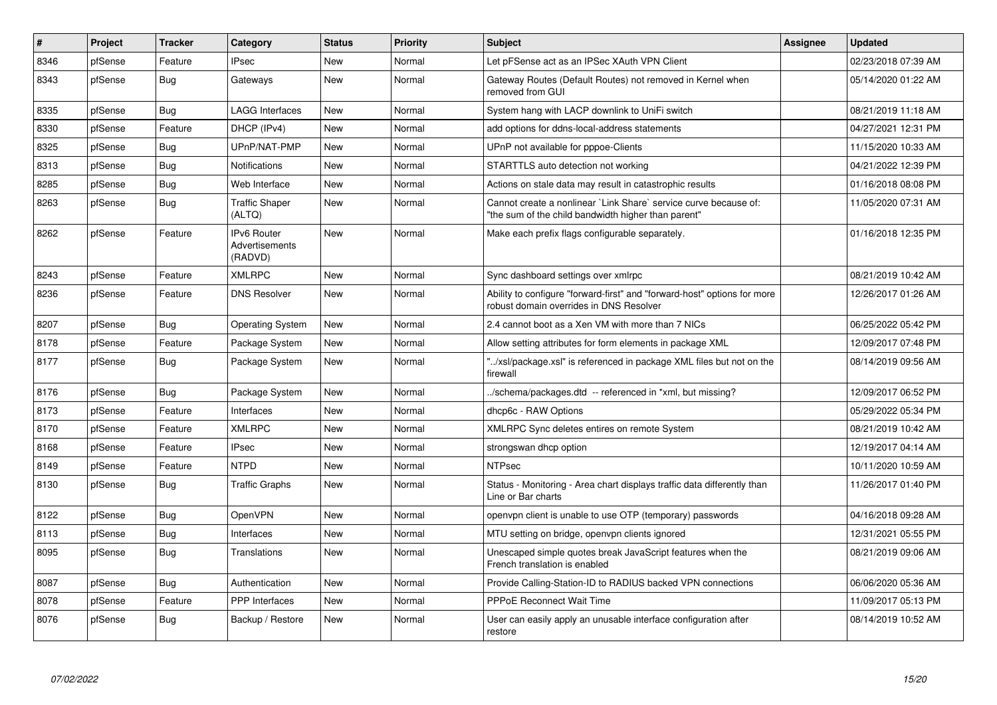| #    | <b>Project</b> | <b>Tracker</b> | Category                                        | <b>Status</b> | Priority | <b>Subject</b>                                                                                                          | <b>Assignee</b> | <b>Updated</b>      |
|------|----------------|----------------|-------------------------------------------------|---------------|----------|-------------------------------------------------------------------------------------------------------------------------|-----------------|---------------------|
| 8346 | pfSense        | Feature        | <b>IPsec</b>                                    | <b>New</b>    | Normal   | Let pFSense act as an IPSec XAuth VPN Client                                                                            |                 | 02/23/2018 07:39 AM |
| 8343 | pfSense        | Bug            | Gateways                                        | New           | Normal   | Gateway Routes (Default Routes) not removed in Kernel when<br>removed from GUI                                          |                 | 05/14/2020 01:22 AM |
| 8335 | pfSense        | <b>Bug</b>     | <b>LAGG Interfaces</b>                          | <b>New</b>    | Normal   | System hang with LACP downlink to UniFi switch                                                                          |                 | 08/21/2019 11:18 AM |
| 8330 | pfSense        | Feature        | DHCP (IPv4)                                     | <b>New</b>    | Normal   | add options for ddns-local-address statements                                                                           |                 | 04/27/2021 12:31 PM |
| 8325 | pfSense        | <b>Bug</b>     | UPnP/NAT-PMP                                    | <b>New</b>    | Normal   | UPnP not available for pppoe-Clients                                                                                    |                 | 11/15/2020 10:33 AM |
| 8313 | pfSense        | Bug            | <b>Notifications</b>                            | New           | Normal   | STARTTLS auto detection not working                                                                                     |                 | 04/21/2022 12:39 PM |
| 8285 | pfSense        | Bug            | Web Interface                                   | <b>New</b>    | Normal   | Actions on stale data may result in catastrophic results                                                                |                 | 01/16/2018 08:08 PM |
| 8263 | pfSense        | <b>Bug</b>     | <b>Traffic Shaper</b><br>(ALTQ)                 | <b>New</b>    | Normal   | Cannot create a nonlinear `Link Share` service curve because of:<br>"the sum of the child bandwidth higher than parent" |                 | 11/05/2020 07:31 AM |
| 8262 | pfSense        | Feature        | <b>IPv6 Router</b><br>Advertisements<br>(RADVD) | <b>New</b>    | Normal   | Make each prefix flags configurable separately.                                                                         |                 | 01/16/2018 12:35 PM |
| 8243 | pfSense        | Feature        | <b>XMLRPC</b>                                   | <b>New</b>    | Normal   | Sync dashboard settings over xmlrpc                                                                                     |                 | 08/21/2019 10:42 AM |
| 8236 | pfSense        | Feature        | <b>DNS Resolver</b>                             | New           | Normal   | Ability to configure "forward-first" and "forward-host" options for more<br>robust domain overrides in DNS Resolver     |                 | 12/26/2017 01:26 AM |
| 8207 | pfSense        | Bug            | <b>Operating System</b>                         | New           | Normal   | 2.4 cannot boot as a Xen VM with more than 7 NICs                                                                       |                 | 06/25/2022 05:42 PM |
| 8178 | pfSense        | Feature        | Package System                                  | New           | Normal   | Allow setting attributes for form elements in package XML                                                               |                 | 12/09/2017 07:48 PM |
| 8177 | pfSense        | Bug            | Package System                                  | <b>New</b>    | Normal   | "/xsl/package.xsl" is referenced in package XML files but not on the<br>firewall                                        |                 | 08/14/2019 09:56 AM |
| 8176 | pfSense        | Bug            | Package System                                  | <b>New</b>    | Normal   | ./schema/packages.dtd -- referenced in *xml, but missing?                                                               |                 | 12/09/2017 06:52 PM |
| 8173 | pfSense        | Feature        | Interfaces                                      | New           | Normal   | dhcp6c - RAW Options                                                                                                    |                 | 05/29/2022 05:34 PM |
| 8170 | pfSense        | Feature        | <b>XMLRPC</b>                                   | <b>New</b>    | Normal   | XMLRPC Sync deletes entires on remote System                                                                            |                 | 08/21/2019 10:42 AM |
| 8168 | pfSense        | Feature        | <b>IPsec</b>                                    | <b>New</b>    | Normal   | strongswan dhcp option                                                                                                  |                 | 12/19/2017 04:14 AM |
| 8149 | pfSense        | Feature        | <b>NTPD</b>                                     | <b>New</b>    | Normal   | <b>NTPsec</b>                                                                                                           |                 | 10/11/2020 10:59 AM |
| 8130 | pfSense        | Bug            | <b>Traffic Graphs</b>                           | <b>New</b>    | Normal   | Status - Monitoring - Area chart displays traffic data differently than<br>Line or Bar charts                           |                 | 11/26/2017 01:40 PM |
| 8122 | pfSense        | <b>Bug</b>     | OpenVPN                                         | <b>New</b>    | Normal   | openvpn client is unable to use OTP (temporary) passwords                                                               |                 | 04/16/2018 09:28 AM |
| 8113 | pfSense        | <b>Bug</b>     | Interfaces                                      | <b>New</b>    | Normal   | MTU setting on bridge, openvpn clients ignored                                                                          |                 | 12/31/2021 05:55 PM |
| 8095 | pfSense        | Bug            | Translations                                    | New           | Normal   | Unescaped simple quotes break JavaScript features when the<br>French translation is enabled                             |                 | 08/21/2019 09:06 AM |
| 8087 | pfSense        | <b>Bug</b>     | Authentication                                  | <b>New</b>    | Normal   | Provide Calling-Station-ID to RADIUS backed VPN connections                                                             |                 | 06/06/2020 05:36 AM |
| 8078 | pfSense        | Feature        | <b>PPP</b> Interfaces                           | New           | Normal   | <b>PPPoE Reconnect Wait Time</b>                                                                                        |                 | 11/09/2017 05:13 PM |
| 8076 | pfSense        | <b>Bug</b>     | Backup / Restore                                | <b>New</b>    | Normal   | User can easily apply an unusable interface configuration after<br>restore                                              |                 | 08/14/2019 10:52 AM |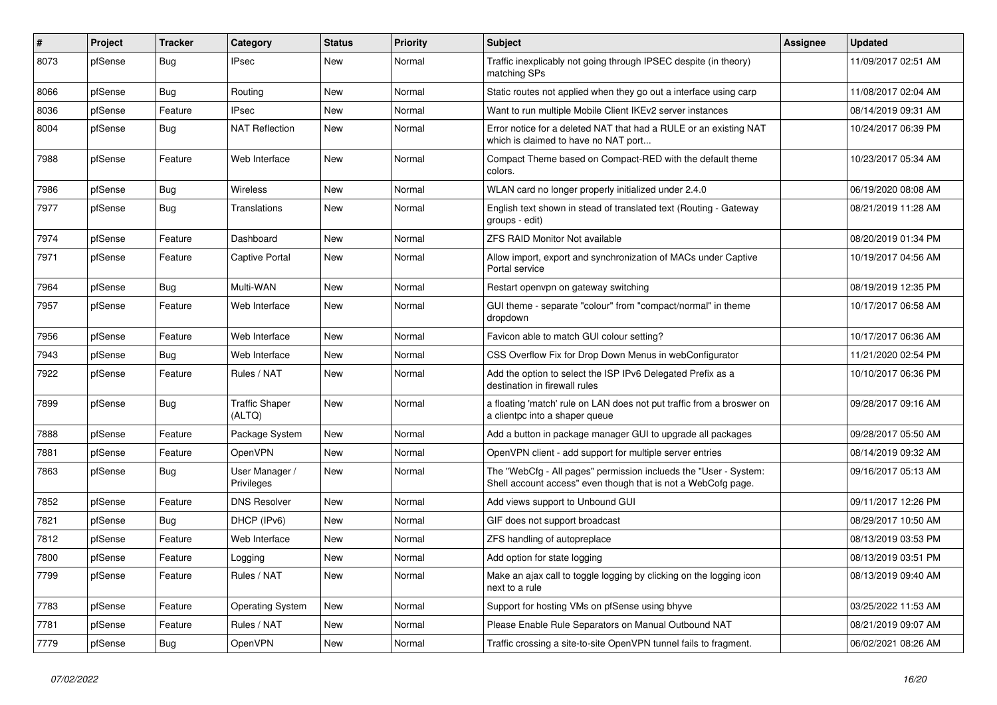| $\vert$ # | Project | <b>Tracker</b> | Category                        | <b>Status</b> | <b>Priority</b> | <b>Subject</b>                                                                                                                    | <b>Assignee</b> | <b>Updated</b>      |
|-----------|---------|----------------|---------------------------------|---------------|-----------------|-----------------------------------------------------------------------------------------------------------------------------------|-----------------|---------------------|
| 8073      | pfSense | Bug            | <b>IPsec</b>                    | New           | Normal          | Traffic inexplicably not going through IPSEC despite (in theory)<br>matching SPs                                                  |                 | 11/09/2017 02:51 AM |
| 8066      | pfSense | Bug            | Routing                         | New           | Normal          | Static routes not applied when they go out a interface using carp                                                                 |                 | 11/08/2017 02:04 AM |
| 8036      | pfSense | Feature        | <b>IPsec</b>                    | New           | Normal          | Want to run multiple Mobile Client IKEv2 server instances                                                                         |                 | 08/14/2019 09:31 AM |
| 8004      | pfSense | Bug            | <b>NAT Reflection</b>           | New           | Normal          | Error notice for a deleted NAT that had a RULE or an existing NAT<br>which is claimed to have no NAT port                         |                 | 10/24/2017 06:39 PM |
| 7988      | pfSense | Feature        | Web Interface                   | New           | Normal          | Compact Theme based on Compact-RED with the default theme<br>colors.                                                              |                 | 10/23/2017 05:34 AM |
| 7986      | pfSense | Bug            | <b>Wireless</b>                 | New           | Normal          | WLAN card no longer properly initialized under 2.4.0                                                                              |                 | 06/19/2020 08:08 AM |
| 7977      | pfSense | Bug            | Translations                    | New           | Normal          | English text shown in stead of translated text (Routing - Gateway<br>groups - edit)                                               |                 | 08/21/2019 11:28 AM |
| 7974      | pfSense | Feature        | Dashboard                       | New           | Normal          | <b>ZFS RAID Monitor Not available</b>                                                                                             |                 | 08/20/2019 01:34 PM |
| 7971      | pfSense | Feature        | <b>Captive Portal</b>           | New           | Normal          | Allow import, export and synchronization of MACs under Captive<br>Portal service                                                  |                 | 10/19/2017 04:56 AM |
| 7964      | pfSense | Bug            | Multi-WAN                       | New           | Normal          | Restart openvpn on gateway switching                                                                                              |                 | 08/19/2019 12:35 PM |
| 7957      | pfSense | Feature        | Web Interface                   | New           | Normal          | GUI theme - separate "colour" from "compact/normal" in theme<br>dropdown                                                          |                 | 10/17/2017 06:58 AM |
| 7956      | pfSense | Feature        | Web Interface                   | New           | Normal          | Favicon able to match GUI colour setting?                                                                                         |                 | 10/17/2017 06:36 AM |
| 7943      | pfSense | Bug            | Web Interface                   | New           | Normal          | CSS Overflow Fix for Drop Down Menus in webConfigurator                                                                           |                 | 11/21/2020 02:54 PM |
| 7922      | pfSense | Feature        | Rules / NAT                     | New           | Normal          | Add the option to select the ISP IPv6 Delegated Prefix as a<br>destination in firewall rules                                      |                 | 10/10/2017 06:36 PM |
| 7899      | pfSense | Bug            | <b>Traffic Shaper</b><br>(ALTQ) | New           | Normal          | a floating 'match' rule on LAN does not put traffic from a broswer on<br>a clientpc into a shaper queue                           |                 | 09/28/2017 09:16 AM |
| 7888      | pfSense | Feature        | Package System                  | New           | Normal          | Add a button in package manager GUI to upgrade all packages                                                                       |                 | 09/28/2017 05:50 AM |
| 7881      | pfSense | Feature        | <b>OpenVPN</b>                  | New           | Normal          | OpenVPN client - add support for multiple server entries                                                                          |                 | 08/14/2019 09:32 AM |
| 7863      | pfSense | Bug            | User Manager /<br>Privileges    | New           | Normal          | The "WebCfg - All pages" permission inclueds the "User - System:<br>Shell account access" even though that is not a WebCofg page. |                 | 09/16/2017 05:13 AM |
| 7852      | pfSense | Feature        | <b>DNS Resolver</b>             | New           | Normal          | Add views support to Unbound GUI                                                                                                  |                 | 09/11/2017 12:26 PM |
| 7821      | pfSense | Bug            | DHCP (IPv6)                     | <b>New</b>    | Normal          | GIF does not support broadcast                                                                                                    |                 | 08/29/2017 10:50 AM |
| 7812      | pfSense | Feature        | Web Interface                   | New           | Normal          | ZFS handling of autopreplace                                                                                                      |                 | 08/13/2019 03:53 PM |
| 7800      | pfSense | Feature        | Logging                         | <b>New</b>    | Normal          | Add option for state logging                                                                                                      |                 | 08/13/2019 03:51 PM |
| 7799      | pfSense | Feature        | Rules / NAT                     | New           | Normal          | Make an ajax call to toggle logging by clicking on the logging icon<br>next to a rule                                             |                 | 08/13/2019 09:40 AM |
| 7783      | pfSense | Feature        | <b>Operating System</b>         | New           | Normal          | Support for hosting VMs on pfSense using bhyve                                                                                    |                 | 03/25/2022 11:53 AM |
| 7781      | pfSense | Feature        | Rules / NAT                     | New           | Normal          | Please Enable Rule Separators on Manual Outbound NAT                                                                              |                 | 08/21/2019 09:07 AM |
| 7779      | pfSense | Bug            | OpenVPN                         | New           | Normal          | Traffic crossing a site-to-site OpenVPN tunnel fails to fragment.                                                                 |                 | 06/02/2021 08:26 AM |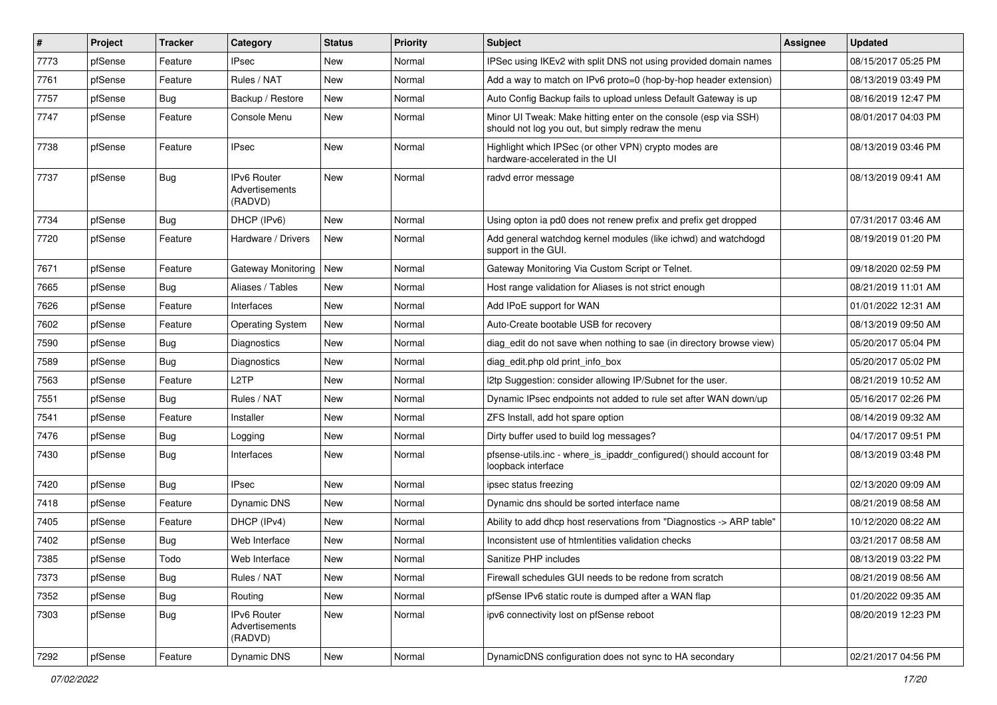| $\pmb{\#}$ | Project | <b>Tracker</b> | Category                                        | <b>Status</b> | Priority | <b>Subject</b>                                                                                                        | <b>Assignee</b> | <b>Updated</b>      |
|------------|---------|----------------|-------------------------------------------------|---------------|----------|-----------------------------------------------------------------------------------------------------------------------|-----------------|---------------------|
| 7773       | pfSense | Feature        | <b>IPsec</b>                                    | New           | Normal   | IPSec using IKEv2 with split DNS not using provided domain names                                                      |                 | 08/15/2017 05:25 PM |
| 7761       | pfSense | Feature        | Rules / NAT                                     | New           | Normal   | Add a way to match on IPv6 proto=0 (hop-by-hop header extension)                                                      |                 | 08/13/2019 03:49 PM |
| 7757       | pfSense | <b>Bug</b>     | Backup / Restore                                | New           | Normal   | Auto Config Backup fails to upload unless Default Gateway is up                                                       |                 | 08/16/2019 12:47 PM |
| 7747       | pfSense | Feature        | Console Menu                                    | New           | Normal   | Minor UI Tweak: Make hitting enter on the console (esp via SSH)<br>should not log you out, but simply redraw the menu |                 | 08/01/2017 04:03 PM |
| 7738       | pfSense | Feature        | <b>IPsec</b>                                    | New           | Normal   | Highlight which IPSec (or other VPN) crypto modes are<br>hardware-accelerated in the UI                               |                 | 08/13/2019 03:46 PM |
| 7737       | pfSense | Bug            | <b>IPv6 Router</b><br>Advertisements<br>(RADVD) | <b>New</b>    | Normal   | radvd error message                                                                                                   |                 | 08/13/2019 09:41 AM |
| 7734       | pfSense | Bug            | DHCP (IPv6)                                     | <b>New</b>    | Normal   | Using opton ia pd0 does not renew prefix and prefix get dropped                                                       |                 | 07/31/2017 03:46 AM |
| 7720       | pfSense | Feature        | Hardware / Drivers                              | New           | Normal   | Add general watchdog kernel modules (like ichwd) and watchdogd<br>support in the GUI.                                 |                 | 08/19/2019 01:20 PM |
| 7671       | pfSense | Feature        | Gateway Monitoring                              | New           | Normal   | Gateway Monitoring Via Custom Script or Telnet.                                                                       |                 | 09/18/2020 02:59 PM |
| 7665       | pfSense | <b>Bug</b>     | Aliases / Tables                                | New           | Normal   | Host range validation for Aliases is not strict enough                                                                |                 | 08/21/2019 11:01 AM |
| 7626       | pfSense | Feature        | Interfaces                                      | New           | Normal   | Add IPoE support for WAN                                                                                              |                 | 01/01/2022 12:31 AM |
| 7602       | pfSense | Feature        | <b>Operating System</b>                         | New           | Normal   | Auto-Create bootable USB for recovery                                                                                 |                 | 08/13/2019 09:50 AM |
| 7590       | pfSense | Bug            | Diagnostics                                     | New           | Normal   | diag edit do not save when nothing to sae (in directory browse view)                                                  |                 | 05/20/2017 05:04 PM |
| 7589       | pfSense | Bug            | Diagnostics                                     | New           | Normal   | diag edit.php old print info box                                                                                      |                 | 05/20/2017 05:02 PM |
| 7563       | pfSense | Feature        | L <sub>2</sub> TP                               | New           | Normal   | I2tp Suggestion: consider allowing IP/Subnet for the user.                                                            |                 | 08/21/2019 10:52 AM |
| 7551       | pfSense | Bug            | Rules / NAT                                     | New           | Normal   | Dynamic IPsec endpoints not added to rule set after WAN down/up                                                       |                 | 05/16/2017 02:26 PM |
| 7541       | pfSense | Feature        | Installer                                       | New           | Normal   | ZFS Install, add hot spare option                                                                                     |                 | 08/14/2019 09:32 AM |
| 7476       | pfSense | <b>Bug</b>     | Logging                                         | New           | Normal   | Dirty buffer used to build log messages?                                                                              |                 | 04/17/2017 09:51 PM |
| 7430       | pfSense | Bug            | Interfaces                                      | New           | Normal   | pfsense-utils.inc - where_is_ipaddr_configured() should account for<br>loopback interface                             |                 | 08/13/2019 03:48 PM |
| 7420       | pfSense | <b>Bug</b>     | <b>IPsec</b>                                    | <b>New</b>    | Normal   | ipsec status freezing                                                                                                 |                 | 02/13/2020 09:09 AM |
| 7418       | pfSense | Feature        | Dynamic DNS                                     | New           | Normal   | Dynamic dns should be sorted interface name                                                                           |                 | 08/21/2019 08:58 AM |
| 7405       | pfSense | Feature        | DHCP (IPv4)                                     | New           | Normal   | Ability to add dhcp host reservations from "Diagnostics -> ARP table"                                                 |                 | 10/12/2020 08:22 AM |
| 7402       | pfSense | Bug            | Web Interface                                   | New           | Normal   | Inconsistent use of htmlentities validation checks                                                                    |                 | 03/21/2017 08:58 AM |
| 7385       | pfSense | Todo           | Web Interface                                   | New           | Normal   | Sanitize PHP includes                                                                                                 |                 | 08/13/2019 03:22 PM |
| 7373       | pfSense | <b>Bug</b>     | Rules / NAT                                     | New           | Normal   | Firewall schedules GUI needs to be redone from scratch                                                                |                 | 08/21/2019 08:56 AM |
| 7352       | pfSense | <b>Bug</b>     | Routing                                         | New           | Normal   | pfSense IPv6 static route is dumped after a WAN flap                                                                  |                 | 01/20/2022 09:35 AM |
| 7303       | pfSense | <b>Bug</b>     | IPv6 Router<br>Advertisements<br>(RADVD)        | New           | Normal   | ipv6 connectivity lost on pfSense reboot                                                                              |                 | 08/20/2019 12:23 PM |
| 7292       | pfSense | Feature        | Dynamic DNS                                     | New           | Normal   | DynamicDNS configuration does not sync to HA secondary                                                                |                 | 02/21/2017 04:56 PM |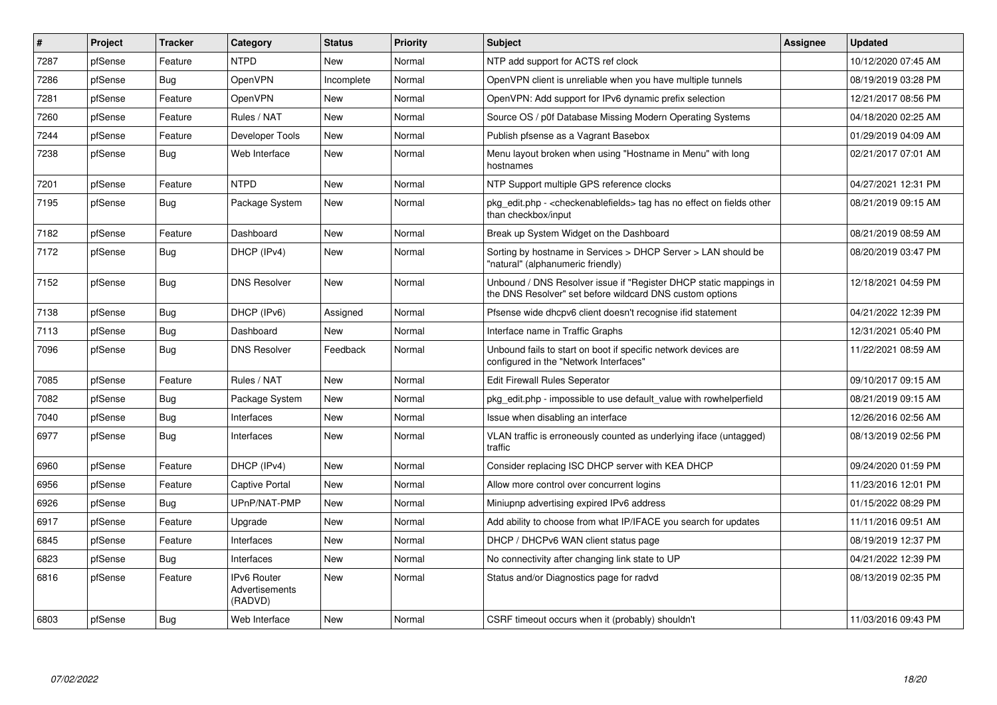| ∦    | Project | <b>Tracker</b> | Category                                 | <b>Status</b> | <b>Priority</b> | <b>Subject</b>                                                                                                                | <b>Assignee</b> | <b>Updated</b>      |
|------|---------|----------------|------------------------------------------|---------------|-----------------|-------------------------------------------------------------------------------------------------------------------------------|-----------------|---------------------|
| 7287 | pfSense | Feature        | <b>NTPD</b>                              | <b>New</b>    | Normal          | NTP add support for ACTS ref clock                                                                                            |                 | 10/12/2020 07:45 AM |
| 7286 | pfSense | <b>Bug</b>     | OpenVPN                                  | Incomplete    | Normal          | OpenVPN client is unreliable when you have multiple tunnels                                                                   |                 | 08/19/2019 03:28 PM |
| 7281 | pfSense | Feature        | OpenVPN                                  | New           | Normal          | OpenVPN: Add support for IPv6 dynamic prefix selection                                                                        |                 | 12/21/2017 08:56 PM |
| 7260 | pfSense | Feature        | Rules / NAT                              | New           | Normal          | Source OS / p0f Database Missing Modern Operating Systems                                                                     |                 | 04/18/2020 02:25 AM |
| 7244 | pfSense | Feature        | Developer Tools                          | <b>New</b>    | Normal          | Publish pfsense as a Vagrant Basebox                                                                                          |                 | 01/29/2019 04:09 AM |
| 7238 | pfSense | Bug            | Web Interface                            | <b>New</b>    | Normal          | Menu layout broken when using "Hostname in Menu" with long<br>hostnames                                                       |                 | 02/21/2017 07:01 AM |
| 7201 | pfSense | Feature        | <b>NTPD</b>                              | <b>New</b>    | Normal          | NTP Support multiple GPS reference clocks                                                                                     |                 | 04/27/2021 12:31 PM |
| 7195 | pfSense | Bug            | Package System                           | New           | Normal          | pkg edit.php - <checkenablefields> tag has no effect on fields other<br/>than checkbox/input</checkenablefields>              |                 | 08/21/2019 09:15 AM |
| 7182 | pfSense | Feature        | Dashboard                                | <b>New</b>    | Normal          | Break up System Widget on the Dashboard                                                                                       |                 | 08/21/2019 08:59 AM |
| 7172 | pfSense | Bug            | DHCP (IPv4)                              | <b>New</b>    | Normal          | Sorting by hostname in Services > DHCP Server > LAN should be<br>'natural" (alphanumeric friendly)                            |                 | 08/20/2019 03:47 PM |
| 7152 | pfSense | Bug            | <b>DNS Resolver</b>                      | <b>New</b>    | Normal          | Unbound / DNS Resolver issue if "Register DHCP static mappings in<br>the DNS Resolver" set before wildcard DNS custom options |                 | 12/18/2021 04:59 PM |
| 7138 | pfSense | Bug            | DHCP (IPv6)                              | Assigned      | Normal          | Pfsense wide dhcpv6 client doesn't recognise if id statement                                                                  |                 | 04/21/2022 12:39 PM |
| 7113 | pfSense | Bug            | Dashboard                                | <b>New</b>    | Normal          | Interface name in Traffic Graphs                                                                                              |                 | 12/31/2021 05:40 PM |
| 7096 | pfSense | Bug            | <b>DNS Resolver</b>                      | Feedback      | Normal          | Unbound fails to start on boot if specific network devices are<br>configured in the "Network Interfaces"                      |                 | 11/22/2021 08:59 AM |
| 7085 | pfSense | Feature        | Rules / NAT                              | <b>New</b>    | Normal          | <b>Edit Firewall Rules Seperator</b>                                                                                          |                 | 09/10/2017 09:15 AM |
| 7082 | pfSense | <b>Bug</b>     | Package System                           | <b>New</b>    | Normal          | pkg_edit.php - impossible to use default_value with rowhelperfield                                                            |                 | 08/21/2019 09:15 AM |
| 7040 | pfSense | Bug            | Interfaces                               | New           | Normal          | Issue when disabling an interface                                                                                             |                 | 12/26/2016 02:56 AM |
| 6977 | pfSense | Bug            | Interfaces                               | <b>New</b>    | Normal          | VLAN traffic is erroneously counted as underlying iface (untagged)<br>traffic                                                 |                 | 08/13/2019 02:56 PM |
| 6960 | pfSense | Feature        | DHCP (IPv4)                              | <b>New</b>    | Normal          | Consider replacing ISC DHCP server with KEA DHCP                                                                              |                 | 09/24/2020 01:59 PM |
| 6956 | pfSense | Feature        | <b>Captive Portal</b>                    | <b>New</b>    | Normal          | Allow more control over concurrent logins                                                                                     |                 | 11/23/2016 12:01 PM |
| 6926 | pfSense | Bug            | UPnP/NAT-PMP                             | <b>New</b>    | Normal          | Miniupnp advertising expired IPv6 address                                                                                     |                 | 01/15/2022 08:29 PM |
| 6917 | pfSense | Feature        | Upgrade                                  | <b>New</b>    | Normal          | Add ability to choose from what IP/IFACE you search for updates                                                               |                 | 11/11/2016 09:51 AM |
| 6845 | pfSense | Feature        | Interfaces                               | <b>New</b>    | Normal          | DHCP / DHCPv6 WAN client status page                                                                                          |                 | 08/19/2019 12:37 PM |
| 6823 | pfSense | Bug            | Interfaces                               | <b>New</b>    | Normal          | No connectivity after changing link state to UP                                                                               |                 | 04/21/2022 12:39 PM |
| 6816 | pfSense | Feature        | IPv6 Router<br>Advertisements<br>(RADVD) | New           | Normal          | Status and/or Diagnostics page for radvd                                                                                      |                 | 08/13/2019 02:35 PM |
| 6803 | pfSense | Bug            | Web Interface                            | New           | Normal          | CSRF timeout occurs when it (probably) shouldn't                                                                              |                 | 11/03/2016 09:43 PM |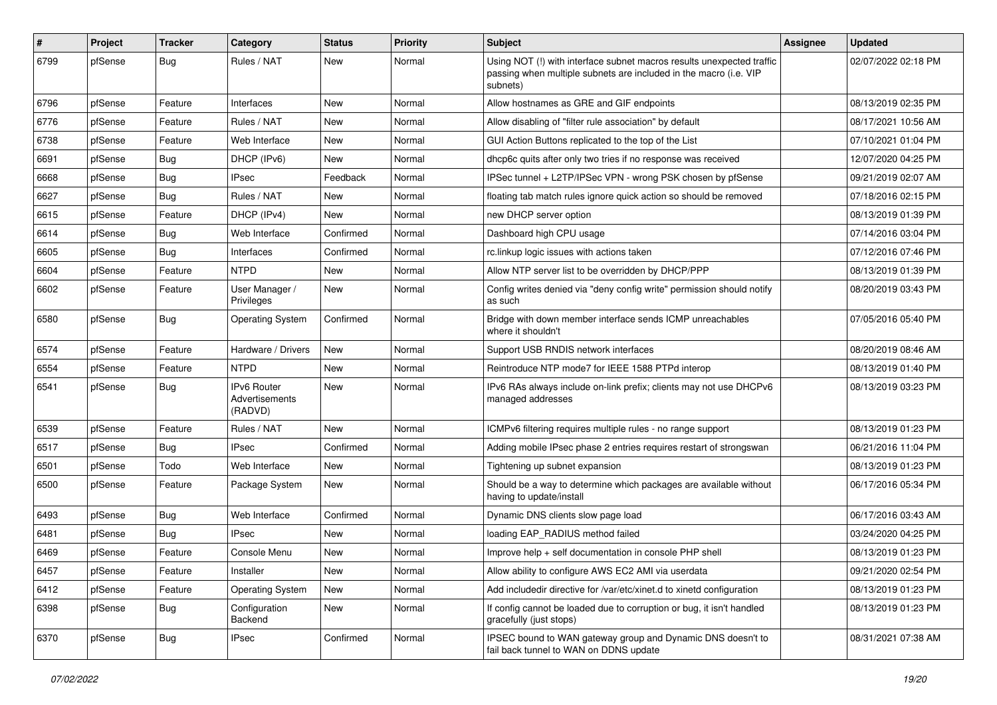| #    | Project | <b>Tracker</b> | Category                                        | <b>Status</b> | <b>Priority</b> | <b>Subject</b>                                                                                                                                         | Assignee | <b>Updated</b>      |
|------|---------|----------------|-------------------------------------------------|---------------|-----------------|--------------------------------------------------------------------------------------------------------------------------------------------------------|----------|---------------------|
| 6799 | pfSense | Bug            | Rules / NAT                                     | New           | Normal          | Using NOT (!) with interface subnet macros results unexpected traffic<br>passing when multiple subnets are included in the macro (i.e. VIP<br>subnets) |          | 02/07/2022 02:18 PM |
| 6796 | pfSense | Feature        | Interfaces                                      | New           | Normal          | Allow hostnames as GRE and GIF endpoints                                                                                                               |          | 08/13/2019 02:35 PM |
| 6776 | pfSense | Feature        | Rules / NAT                                     | <b>New</b>    | Normal          | Allow disabling of "filter rule association" by default                                                                                                |          | 08/17/2021 10:56 AM |
| 6738 | pfSense | Feature        | Web Interface                                   | New           | Normal          | GUI Action Buttons replicated to the top of the List                                                                                                   |          | 07/10/2021 01:04 PM |
| 6691 | pfSense | <b>Bug</b>     | DHCP (IPv6)                                     | New           | Normal          | dhcp6c quits after only two tries if no response was received                                                                                          |          | 12/07/2020 04:25 PM |
| 6668 | pfSense | Bug            | <b>IPsec</b>                                    | Feedback      | Normal          | IPSec tunnel + L2TP/IPSec VPN - wrong PSK chosen by pfSense                                                                                            |          | 09/21/2019 02:07 AM |
| 6627 | pfSense | Bug            | Rules / NAT                                     | New           | Normal          | floating tab match rules ignore quick action so should be removed                                                                                      |          | 07/18/2016 02:15 PM |
| 6615 | pfSense | Feature        | DHCP (IPv4)                                     | New           | Normal          | new DHCP server option                                                                                                                                 |          | 08/13/2019 01:39 PM |
| 6614 | pfSense | Bug            | Web Interface                                   | Confirmed     | Normal          | Dashboard high CPU usage                                                                                                                               |          | 07/14/2016 03:04 PM |
| 6605 | pfSense | <b>Bug</b>     | Interfaces                                      | Confirmed     | Normal          | rc.linkup logic issues with actions taken                                                                                                              |          | 07/12/2016 07:46 PM |
| 6604 | pfSense | Feature        | <b>NTPD</b>                                     | <b>New</b>    | Normal          | Allow NTP server list to be overridden by DHCP/PPP                                                                                                     |          | 08/13/2019 01:39 PM |
| 6602 | pfSense | Feature        | User Manager /<br>Privileges                    | New           | Normal          | Config writes denied via "deny config write" permission should notify<br>as such                                                                       |          | 08/20/2019 03:43 PM |
| 6580 | pfSense | Bug            | <b>Operating System</b>                         | Confirmed     | Normal          | Bridge with down member interface sends ICMP unreachables<br>where it shouldn't                                                                        |          | 07/05/2016 05:40 PM |
| 6574 | pfSense | Feature        | Hardware / Drivers                              | <b>New</b>    | Normal          | Support USB RNDIS network interfaces                                                                                                                   |          | 08/20/2019 08:46 AM |
| 6554 | pfSense | Feature        | <b>NTPD</b>                                     | New           | Normal          | Reintroduce NTP mode7 for IEEE 1588 PTPd interop                                                                                                       |          | 08/13/2019 01:40 PM |
| 6541 | pfSense | Bug            | <b>IPv6 Router</b><br>Advertisements<br>(RADVD) | <b>New</b>    | Normal          | IPv6 RAs always include on-link prefix; clients may not use DHCPv6<br>managed addresses                                                                |          | 08/13/2019 03:23 PM |
| 6539 | pfSense | Feature        | Rules / NAT                                     | New           | Normal          | ICMPv6 filtering requires multiple rules - no range support                                                                                            |          | 08/13/2019 01:23 PM |
| 6517 | pfSense | Bug            | <b>IPsec</b>                                    | Confirmed     | Normal          | Adding mobile IPsec phase 2 entries requires restart of strongswan                                                                                     |          | 06/21/2016 11:04 PM |
| 6501 | pfSense | Todo           | Web Interface                                   | New           | Normal          | Tightening up subnet expansion                                                                                                                         |          | 08/13/2019 01:23 PM |
| 6500 | pfSense | Feature        | Package System                                  | New           | Normal          | Should be a way to determine which packages are available without<br>having to update/install                                                          |          | 06/17/2016 05:34 PM |
| 6493 | pfSense | <b>Bug</b>     | Web Interface                                   | Confirmed     | Normal          | Dynamic DNS clients slow page load                                                                                                                     |          | 06/17/2016 03:43 AM |
| 6481 | pfSense | <b>Bug</b>     | <b>IPsec</b>                                    | New           | Normal          | loading EAP RADIUS method failed                                                                                                                       |          | 03/24/2020 04:25 PM |
| 6469 | pfSense | Feature        | Console Menu                                    | New           | Normal          | Improve help + self documentation in console PHP shell                                                                                                 |          | 08/13/2019 01:23 PM |
| 6457 | pfSense | Feature        | Installer                                       | New           | Normal          | Allow ability to configure AWS EC2 AMI via userdata                                                                                                    |          | 09/21/2020 02:54 PM |
| 6412 | pfSense | Feature        | <b>Operating System</b>                         | New           | Normal          | Add includedir directive for /var/etc/xinet.d to xinetd configuration                                                                                  |          | 08/13/2019 01:23 PM |
| 6398 | pfSense | <b>Bug</b>     | Configuration<br>Backend                        | New           | Normal          | If config cannot be loaded due to corruption or bug, it isn't handled<br>gracefully (just stops)                                                       |          | 08/13/2019 01:23 PM |
| 6370 | pfSense | Bug            | <b>IPsec</b>                                    | Confirmed     | Normal          | IPSEC bound to WAN gateway group and Dynamic DNS doesn't to<br>fail back tunnel to WAN on DDNS update                                                  |          | 08/31/2021 07:38 AM |